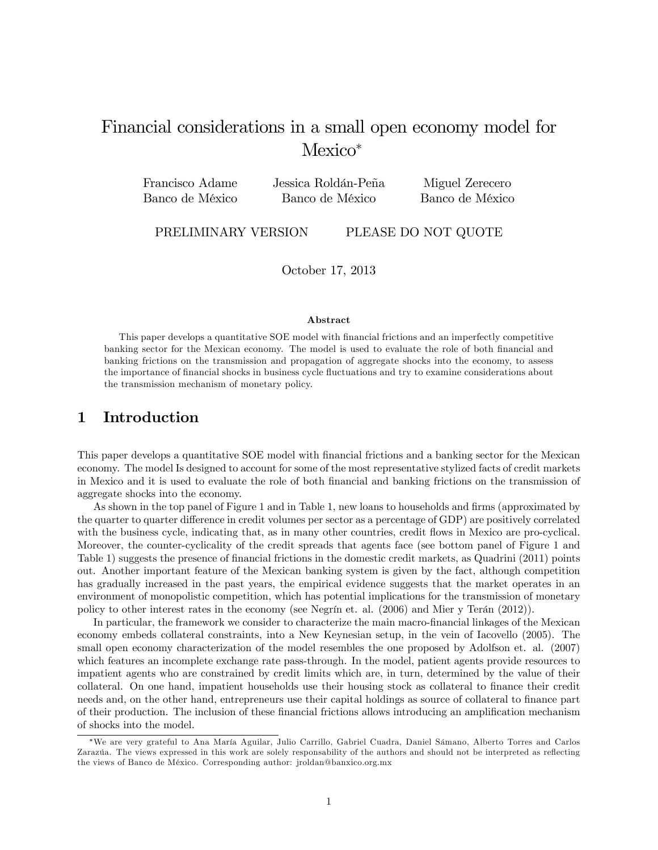# Financial considerations in a small open economy model for Mexico<sup>\*</sup>

| Francisco Adame | Jessica Roldán-Peña | Miguel Zerecero |
|-----------------|---------------------|-----------------|
| Banco de México | Banco de México     | Banco de México |

PRELIMINARY VERSION PLEASE DO NOT QUOTE

October 17, 2013

#### Abstract

This paper develops a quantitative SOE model with financial frictions and an imperfectly competitive banking sector for the Mexican economy. The model is used to evaluate the role of both financial and banking frictions on the transmission and propagation of aggregate shocks into the economy, to assess the importance of financial shocks in business cycle fluctuations and try to examine considerations about the transmission mechanism of monetary policy.

# 1 Introduction

This paper develops a quantitative SOE model with financial frictions and a banking sector for the Mexican economy. The model Is designed to account for some of the most representative stylized facts of credit markets in Mexico and it is used to evaluate the role of both Önancial and banking frictions on the transmission of aggregate shocks into the economy.

As shown in the top panel of Figure 1 and in Table 1, new loans to households and firms (approximated by the quarter to quarter difference in credit volumes per sector as a percentage of GDP) are positively correlated with the business cycle, indicating that, as in many other countries, credit flows in Mexico are pro-cyclical. Moreover, the counter-cyclicality of the credit spreads that agents face (see bottom panel of Figure 1 and Table 1) suggests the presence of financial frictions in the domestic credit markets, as Quadrini (2011) points out. Another important feature of the Mexican banking system is given by the fact, although competition has gradually increased in the past years, the empirical evidence suggests that the market operates in an environment of monopolistic competition, which has potential implications for the transmission of monetary policy to other interest rates in the economy (see Negrín et. al.  $(2006)$  and Mier y Terán  $(2012)$ ).

In particular, the framework we consider to characterize the main macro-financial linkages of the Mexican economy embeds collateral constraints, into a New Keynesian setup, in the vein of Iacovello (2005). The small open economy characterization of the model resembles the one proposed by Adolfson et. al. (2007) which features an incomplete exchange rate pass-through. In the model, patient agents provide resources to impatient agents who are constrained by credit limits which are, in turn, determined by the value of their collateral. On one hand, impatient households use their housing stock as collateral to finance their credit needs and, on the other hand, entrepreneurs use their capital holdings as source of collateral to finance part of their production. The inclusion of these financial frictions allows introducing an amplification mechanism of shocks into the model.

<sup>\*</sup>We are very grateful to Ana María Aguilar, Julio Carrillo, Gabriel Cuadra, Daniel Sámano, Alberto Torres and Carlos Zarazúa. The views expressed in this work are solely responsability of the authors and should not be interpreted as reflecting the views of Banco de MÈxico. Corresponding author: jroldan@banxico.org.mx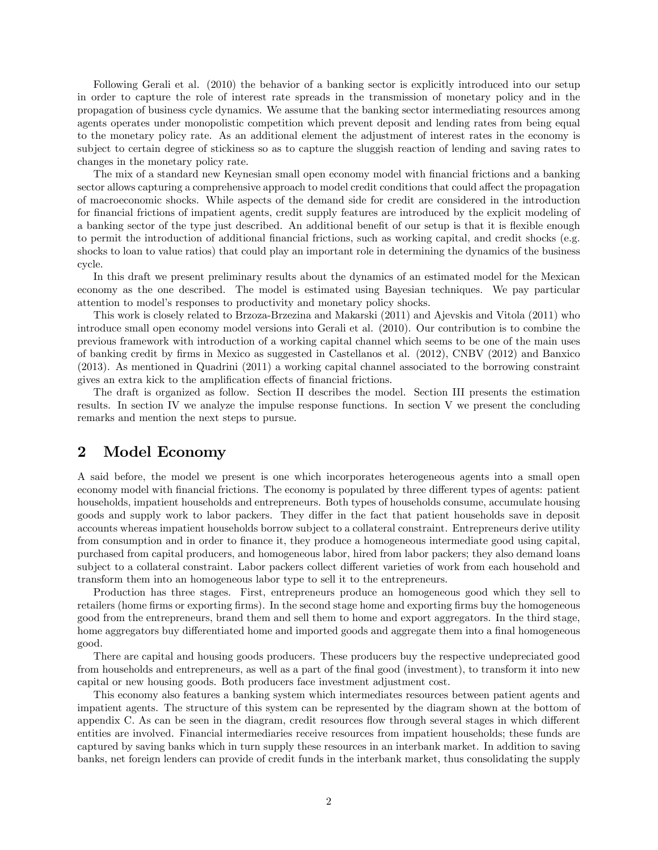Following Gerali et al. (2010) the behavior of a banking sector is explicitly introduced into our setup in order to capture the role of interest rate spreads in the transmission of monetary policy and in the propagation of business cycle dynamics. We assume that the banking sector intermediating resources among agents operates under monopolistic competition which prevent deposit and lending rates from being equal to the monetary policy rate. As an additional element the adjustment of interest rates in the economy is subject to certain degree of stickiness so as to capture the sluggish reaction of lending and saving rates to changes in the monetary policy rate.

The mix of a standard new Keynesian small open economy model with financial frictions and a banking sector allows capturing a comprehensive approach to model credit conditions that could affect the propagation of macroeconomic shocks. While aspects of the demand side for credit are considered in the introduction for financial frictions of impatient agents, credit supply features are introduced by the explicit modeling of a banking sector of the type just described. An additional benefit of our setup is that it is flexible enough to permit the introduction of additional financial frictions, such as working capital, and credit shocks (e.g. shocks to loan to value ratios) that could play an important role in determining the dynamics of the business cycle.

In this draft we present preliminary results about the dynamics of an estimated model for the Mexican economy as the one described. The model is estimated using Bayesian techniques. We pay particular attention to modelís responses to productivity and monetary policy shocks.

This work is closely related to Brzoza-Brzezina and Makarski (2011) and Ajevskis and Vitola (2011) who introduce small open economy model versions into Gerali et al. (2010). Our contribution is to combine the previous framework with introduction of a working capital channel which seems to be one of the main uses of banking credit by Örms in Mexico as suggested in Castellanos et al. (2012), CNBV (2012) and Banxico (2013). As mentioned in Quadrini (2011) a working capital channel associated to the borrowing constraint gives an extra kick to the amplification effects of financial frictions.

The draft is organized as follow. Section II describes the model. Section III presents the estimation results. In section IV we analyze the impulse response functions. In section V we present the concluding remarks and mention the next steps to pursue.

# 2 Model Economy

A said before, the model we present is one which incorporates heterogeneous agents into a small open economy model with financial frictions. The economy is populated by three different types of agents: patient households, impatient households and entrepreneurs. Both types of households consume, accumulate housing goods and supply work to labor packers. They differ in the fact that patient households save in deposit accounts whereas impatient households borrow subject to a collateral constraint. Entrepreneurs derive utility from consumption and in order to Önance it, they produce a homogeneous intermediate good using capital, purchased from capital producers, and homogeneous labor, hired from labor packers; they also demand loans subject to a collateral constraint. Labor packers collect different varieties of work from each household and transform them into an homogeneous labor type to sell it to the entrepreneurs.

Production has three stages. First, entrepreneurs produce an homogeneous good which they sell to retailers (home firms or exporting firms). In the second stage home and exporting firms buy the homogeneous good from the entrepreneurs, brand them and sell them to home and export aggregators. In the third stage, home aggregators buy differentiated home and imported goods and aggregate them into a final homogeneous good.

There are capital and housing goods producers. These producers buy the respective undepreciated good from households and entrepreneurs, as well as a part of the final good (investment), to transform it into new capital or new housing goods. Both producers face investment adjustment cost.

This economy also features a banking system which intermediates resources between patient agents and impatient agents. The structure of this system can be represented by the diagram shown at the bottom of appendix C. As can be seen in the diagram, credit resources flow through several stages in which different entities are involved. Financial intermediaries receive resources from impatient households; these funds are captured by saving banks which in turn supply these resources in an interbank market. In addition to saving banks, net foreign lenders can provide of credit funds in the interbank market, thus consolidating the supply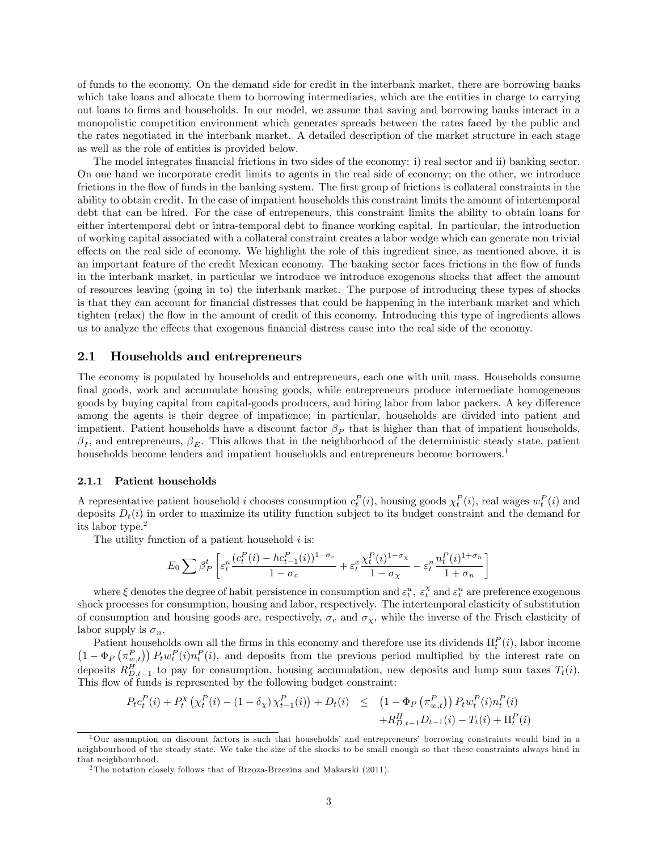of funds to the economy. On the demand side for credit in the interbank market, there are borrowing banks which take loans and allocate them to borrowing intermediaries, which are the entities in charge to carrying out loans to Örms and households. In our model, we assume that saving and borrowing banks interact in a monopolistic competition environment which generates spreads between the rates faced by the public and the rates negotiated in the interbank market. A detailed description of the market structure in each stage as well as the role of entities is provided below.

The model integrates financial frictions in two sides of the economy: i) real sector and ii) banking sector. On one hand we incorporate credit limits to agents in the real side of economy; on the other, we introduce frictions in the flow of funds in the banking system. The first group of frictions is collateral constraints in the ability to obtain credit. In the case of impatient households this constraint limits the amount of intertemporal debt that can be hired. For the case of entrepeneurs, this constraint limits the ability to obtain loans for either intertemporal debt or intra-temporal debt to finance working capital. In particular, the introduction of working capital associated with a collateral constraint creates a labor wedge which can generate non trivial effects on the real side of economy. We highlight the role of this ingredient since, as mentioned above, it is an important feature of the credit Mexican economy. The banking sector faces frictions in the áow of funds in the interbank market, in particular we introduce we introduce exogenous shocks that affect the amount of resources leaving (going in to) the interbank market. The purpose of introducing these types of shocks is that they can account for financial distresses that could be happening in the interbank market and which tighten (relax) the flow in the amount of credit of this economy. Introducing this type of ingredients allows us to analyze the effects that exogenous financial distress cause into the real side of the economy.

### 2.1 Households and entrepreneurs

The economy is populated by households and entrepreneurs, each one with unit mass. Households consume final goods, work and accumulate housing goods, while entrepreneurs produce intermediate homogeneous goods by buying capital from capital-goods producers, and hiring labor from labor packers. A key difference among the agents is their degree of impatience; in particular, households are divided into patient and impatient. Patient households have a discount factor  $\beta_P$  that is higher than that of impatient households,  $\beta_I$ , and entrepreneurs,  $\beta_E$ . This allows that in the neighborhood of the deterministic steady state, patient households become lenders and impatient households and entrepreneurs become borrowers.<sup>1</sup>

#### 2.1.1 Patient households

A representative patient household i chooses consumption  $c_t^P(i)$ , housing goods  $\chi_t^P(i)$ , real wages  $w_t^P(i)$  and deposits  $D_t(i)$  in order to maximize its utility function subject to its budget constraint and the demand for its labor type.<sup>2</sup>

The utility function of a patient household  $i$  is:

$$
E_0 \sum \beta_P^t \left[ \varepsilon_t^u \frac{(c_t^P(i) - hc_{t-1}^P(i))^{1-\sigma_c}}{1-\sigma_c} + \varepsilon_t^x \frac{\chi_t^P(i)^{1-\sigma_x}}{1-\sigma_x} - \varepsilon_t^n \frac{n_t^P(i)^{1+\sigma_n}}{1+\sigma_n} \right]
$$

where  $\xi$  denotes the degree of habit persistence in consumption and  $\varepsilon_t^u$ ,  $\varepsilon_t^{\chi}$  and  $\varepsilon_t^n$  are preference exogenous shock processes for consumption, housing and labor, respectively. The intertemporal elasticity of substitution of consumption and housing goods are, respectively,  $\sigma_c$  and  $\sigma_x$ , while the inverse of the Frisch elasticity of labor supply is  $\sigma_n$ .

Patient households own all the firms in this economy and therefore use its dividends  $\Pi_t^P(i)$ , labor income  $\left(1-\Phi_P\left(\pi_{w,t}^P\right)\right)P_t w_t^P(i) n_t^P(i)$ , and deposits from the previous period multiplied by the interest rate on deposits  $R_{D,t-1}^H$  to pay for consumption, housing accumulation, new deposits and lump sum taxes  $T_t(i)$ . This flow of funds is represented by the following budget constraint:

$$
P_t c_t^P(i) + P_t^X \left( \chi_t^P(i) - (1 - \delta_\chi) \chi_{t-1}^P(i) \right) + D_t(i) \leq \left( 1 - \Phi_P \left( \pi_{w,t}^P \right) \right) P_t w_t^P(i) n_t^P(i) + R_{D,t-1}^H D_{t-1}(i) - T_t(i) + \Pi_t^P(i)
$$

 $1$ Our assumption on discount factors is such that households' and entrepreneurs' borrowing constraints would bind in a neighbourhood of the steady state. We take the size of the shocks to be small enough so that these constraints always bind in that neighbourhood.

<sup>&</sup>lt;sup>2</sup>The notation closely follows that of Brzoza-Brzezina and Makarski (2011).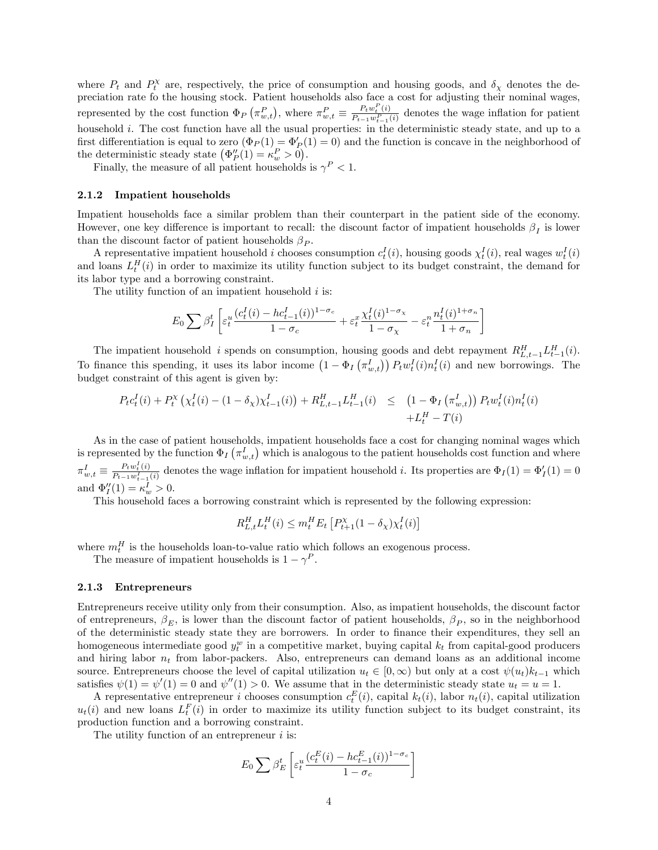where  $P_t$  and  $P_t^{\chi}$  are, respectively, the price of consumption and housing goods, and  $\delta_{\chi}$  denotes the depreciation rate fo the housing stock. Patient households also face a cost for adjusting their nominal wages, represented by the cost function  $\Phi_P(\pi_{w,t}^P)$ , where  $\pi_{w,t}^P \equiv \frac{P_t w_t^P(i)}{P_{t-1} w_{t-1}^P}$  $\frac{F_t w_t^{(i)}}{P_{t-1} w_{t-1}^p(i)}$  denotes the wage inflation for patient household i. The cost function have all the usual properties: in the deterministic steady state, and up to a first differentiation is equal to zero  $(\Phi_P(1) = \Phi'_P(1) = 0)$  and the function is concave in the neighborhood of the deterministic steady state  $(\Phi''_P(1) = \kappa_w^P > 0).$ 

Finally, the measure of all patient households is  $\gamma^P < 1$ .

#### 2.1.2 Impatient households

Impatient households face a similar problem than their counterpart in the patient side of the economy. However, one key difference is important to recall: the discount factor of impatient households  $\beta_I$  is lower than the discount factor of patient households  $\beta_P$ .

A representative impatient household *i* chooses consumption  $c_t^I(i)$ , housing goods  $\chi_t^I(i)$ , real wages  $w_t^I(i)$ and loans  $L_t^H(i)$  in order to maximize its utility function subject to its budget constraint, the demand for its labor type and a borrowing constraint.

The utility function of an impatient household  $i$  is:

$$
E_0 \sum \beta_I^t \left[ \varepsilon_t^u \frac{(c_t^I(i) - hc_{t-1}^I(i))^{1-\sigma_c}}{1-\sigma_c} + \varepsilon_t^x \frac{\chi_t^I(i)^{1-\sigma_x}}{1-\sigma_x} - \varepsilon_t^n \frac{n_t^I(i)^{1+\sigma_n}}{1+\sigma_n} \right]
$$

The impatient household i spends on consumption, housing goods and debt repayment  $R_{L,t-1}^H L_{t-1}^H(i)$ . To finance this spending, it uses its labor income  $(1 - \Phi_I(\pi_{w,t}^I)) P_t w_t^I(i) n_t^I(i)$  and new borrowings. The budget constraint of this agent is given by:

$$
P_t c_t^I(i) + P_t^{\chi} \left( \chi_t^I(i) - (1 - \delta_{\chi}) \chi_{t-1}^I(i) \right) + R_{L,t-1}^H L_{t-1}^H(i) \leq \left( 1 - \Phi_I \left( \pi_{w,t}^I \right) \right) P_t w_t^I(i) n_t^I(i) + L_t^H - T(i)
$$

As in the case of patient households, impatient households face a cost for changing nominal wages which is represented by the function  $\Phi_I(\pi_{w,t}^I)$  which is analogous to the patient households cost function and where  $\pi_{w,t}^{I} \equiv \frac{P_t w_t^I(i)}{P_{t-1} w_{t-1}^I}$  $\frac{P_t w_t(i)}{P_{t-1} w_{t-1}^t(i)}$  denotes the wage inflation for impatient household *i*. Its properties are  $\Phi_I(1) = \Phi'_I(1) = 0$ and  $\Phi''_I(1) = \kappa_w^I > 0$ .

This household faces a borrowing constraint which is represented by the following expression:

$$
R^{H}_{L,t}L^{H}_{t}(i) \leq m^{H}_{t}E_{t}\left[P^{\chi}_{t+1}(1-\delta_{\chi})\chi^{I}_{t}(i)\right]
$$

where  $m_t^H$  is the households loan-to-value ratio which follows an exogenous process.

The measure of impatient households is  $1 - \gamma^P$ .

### 2.1.3 Entrepreneurs

Entrepreneurs receive utility only from their consumption. Also, as impatient households, the discount factor of entrepreneurs,  $\beta_F$ , is lower than the discount factor of patient households,  $\beta_P$ , so in the neighborhood of the deterministic steady state they are borrowers. In order to finance their expenditures, they sell an homogeneous intermediate good  $y_t^w$  in a competitive market, buying capital  $k_t$  from capital-good producers and hiring labor  $n_t$  from labor-packers. Also, entrepreneurs can demand loans as an additional income source. Entrepreneurs choose the level of capital utilization  $u_t \in [0,\infty)$  but only at a cost  $\psi(u_t)k_{t-1}$  which satisfies  $\psi(1) = \psi'(1) = 0$  and  $\psi''(1) > 0$ . We assume that in the deterministic steady state  $u_t = u = 1$ .

A representative entrepreneur *i* chooses consumption  $c_t^E(i)$ , capital  $k_t(i)$ , labor  $n_t(i)$ , capital utilization  $u_t(i)$  and new loans  $L_t^F(i)$  in order to maximize its utility function subject to its budget constraint, its production function and a borrowing constraint.

The utility function of an entrepreneur *i* is:

$$
E_0 \sum \beta_E^t \left[ \varepsilon_t^u \frac{(c_t^E(i) - hc_{t-1}^E(i))^{1-\sigma_c}}{1-\sigma_c} \right]
$$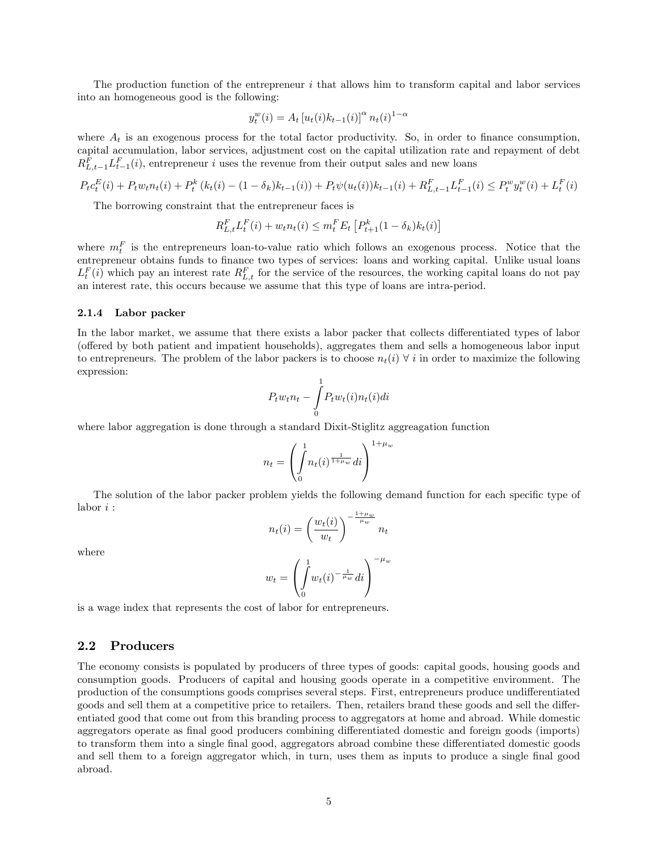The production function of the entrepreneur  $i$  that allows him to transform capital and labor services into an homogeneous good is the following:

$$
y_t^w(i) = A_t \left[ u_t(i) k_{t-1}(i) \right]^\alpha n_t(i)^{1-\alpha}
$$

where  $A_t$  is an exogenous process for the total factor productivity. So, in order to finance consumption, capital accumulation, labor services, adjustment cost on the capital utilization rate and repayment of debt  $R_{L,t-1}^F L_{t-1}^F(i)$ , entrepreneur i uses the revenue from their output sales and new loans

$$
P_t c_t^E(i) + P_t w_t n_t(i) + P_t^k (k_t(i) - (1 - \delta_k) k_{t-1}(i)) + P_t \psi(u_t(i)) k_{t-1}(i) + R_{L,t-1}^F L_{t-1}^F(i) \le P_t^w y_t^w(i) + L_t^F(i)
$$

The borrowing constraint that the entrepreneur faces is

$$
R_{L,t}^{F} L_{t}^{F}(i) + w_{t} n_{t}(i) \leq m_{t}^{F} E_{t} \left[ P_{t+1}^{k}(1 - \delta_{k}) k_{t}(i) \right]
$$

where  $m_t^F$  is the entrepreneurs loan-to-value ratio which follows an exogenous process. Notice that the entrepreneur obtains funds to finance two types of services: loans and working capital. Unlike usual loans  $L_t^F(i)$  which pay an interest rate  $R_{L,t}^F$  for the service of the resources, the working capital loans do not pay an interest rate, this occurs because we assume that this type of loans are intra-period.

#### 2.1.4 Labor packer

In the labor market, we assume that there exists a labor packer that collects differentiated types of labor (offered by both patient and impatient households), aggregates them and sells a homogeneous labor input to entrepreneurs. The problem of the labor packers is to choose  $n_i(i) \forall i$  in order to maximize the following expression:

$$
P_t w_t n_t - \int_0^1 P_t w_t(i) n_t(i) di
$$

where labor aggregation is done through a standard Dixit-Stiglitz aggreagation function

$$
n_t = \left(\int_0^1 n_t(i)^{\frac{1}{1+\mu_w}} di\right)^{1+\mu_w}
$$

The solution of the labor packer problem yields the following demand function for each specific type of labor  $i$  :

$$
n_t(i) = \left(\frac{w_t(i)}{w_t}\right)^{-\frac{1+\mu_w}{\mu_w}} n_t
$$

where

$$
w_t = \left(\int_0^1 w_t(i)^{-\frac{1}{\mu_w}} di\right)^{-\mu_w}
$$

is a wage index that represents the cost of labor for entrepreneurs.

## 2.2 Producers

The economy consists is populated by producers of three types of goods: capital goods, housing goods and consumption goods. Producers of capital and housing goods operate in a competitive environment. The production of the consumptions goods comprises several steps. First, entrepreneurs produce undifferentiated goods and sell them at a competitive price to retailers. Then, retailers brand these goods and sell the differentiated good that come out from this branding process to aggregators at home and abroad. While domestic aggregators operate as final good producers combining differentiated domestic and foreign goods (imports) to transform them into a single final good, aggregators abroad combine these differentiated domestic goods and sell them to a foreign aggregator which, in turn, uses them as inputs to produce a single final good abroad.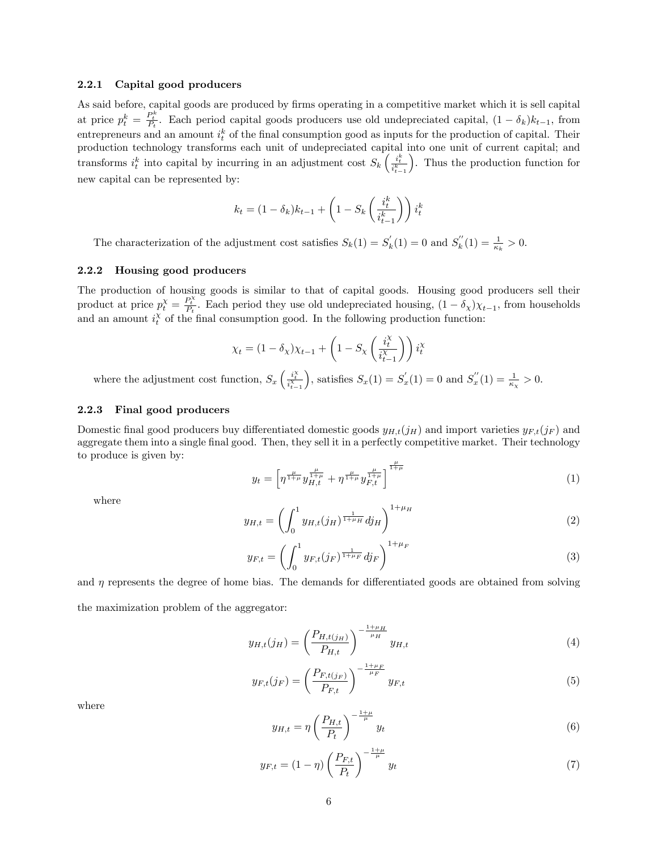#### 2.2.1 Capital good producers

As said before, capital goods are produced by firms operating in a competitive market which it is sell capital at price  $p_t^k = \frac{P_t^k}{P_t}$ . Each period capital goods producers use old undepreciated capital,  $(1 - \delta_k)k_{t-1}$ , from entrepreneurs and an amount  $i_t^k$  of the final consumption good as inputs for the production of capital. Their production technology transforms each unit of undepreciated capital into one unit of current capital; and transforms  $i_t^k$  into capital by incurring in an adjustment cost  $S_k \left( \frac{i_t^k}{i_{t-1}^k} \right)$  . Thus the production function for new capital can be represented by:

$$
k_t = (1 - \delta_k)k_{t-1} + \left(1 - S_k\left(\frac{i_t^k}{i_{t-1}^k}\right)\right)i_t^k
$$

The characterization of the adjustment cost satisfies  $S_k(1) = S'_k(1) = 0$  and  $S''_k(1) = \frac{1}{\kappa_k} > 0$ .

#### 2.2.2 Housing good producers

The production of housing goods is similar to that of capital goods. Housing good producers sell their product at price  $p_t^{\chi} = \frac{P_t^{\chi}}{P_t}$ . Each period they use old undepreciated housing,  $(1 - \delta_{\chi})\chi_{t-1}$ , from households and an amount  $i_t^{\chi}$  of the final consumption good. In the following production function:

$$
\chi_t = (1 - \delta_\chi)\chi_{t-1} + \left(1 - S_\chi\left(\frac{i_t^\chi}{i_{t-1}^\chi}\right)\right)i_t^\chi
$$

where the adjustment cost function,  $S_x \left( \frac{i_t^{\chi}}{i_{t-1}^{\chi}} \right)$ ), satisfies  $S_x(1) = S'_x(1) = 0$  and  $S''_x(1) = \frac{1}{\kappa_x} > 0$ .

### 2.2.3 Final good producers

Domestic final good producers buy differentiated domestic goods  $y_{H,t}(j_H)$  and import varieties  $y_{F,t}(j_F)$  and aggregate them into a single final good. Then, they sell it in a perfectly competitive market. Their technology to produce is given by:

$$
y_t = \left[ \eta^{\frac{\mu}{1+\mu}} y_{H,t}^{\frac{\mu}{1+\mu}} + \eta^{\frac{\mu}{1+\mu}} y_{F,t}^{\frac{\mu}{1+\mu}} \right]^{\frac{\mu}{1+\mu}}
$$
(1)

where

$$
y_{H,t} = \left(\int_0^1 y_{H,t}(j_H)^{\frac{1}{1+\mu_H}} dj_H\right)^{1+\mu_H}
$$
 (2)

$$
y_{F,t} = \left(\int_0^1 y_{F,t}(j_F)^{\frac{1}{1+\mu_F}} d j_F\right)^{1+\mu_F} \tag{3}
$$

and  $\eta$  represents the degree of home bias. The demands for differentiated goods are obtained from solving the maximization problem of the aggregator:

$$
y_{H,t}(j_H) = \left(\frac{P_{H,t(j_H)}}{P_{H,t}}\right)^{-\frac{1+\mu_H}{\mu_H}} y_{H,t}
$$
(4)

$$
y_{F,t}(j_F) = \left(\frac{P_{F,t(j_F)}}{P_{F,t}}\right)^{-\frac{1+\mu_F}{\mu_F}} y_{F,t}
$$
\n(5)

where

$$
y_{H,t} = \eta \left(\frac{P_{H,t}}{P_t}\right)^{-\frac{1+\mu}{\mu}} y_t \tag{6}
$$

$$
y_{F,t} = (1 - \eta) \left(\frac{P_{F,t}}{P_t}\right)^{-\frac{1+\mu}{\mu}} y_t \tag{7}
$$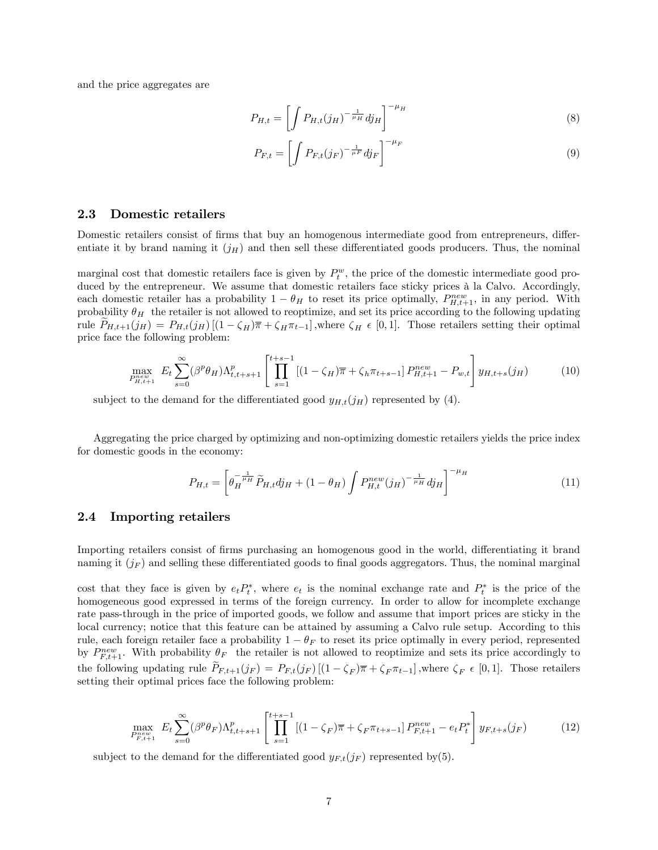and the price aggregates are

$$
P_{H,t} = \left[ \int P_{H,t}(j_H)^{-\frac{1}{\mu_H}} dj_H \right]^{-\mu_H}
$$
 (8)

$$
P_{F,t} = \left[ \int P_{F,t}(j_F)^{-\frac{1}{\mu F}} dj_F \right]^{-\mu_F}
$$
\n(9)

# 2.3 Domestic retailers

Domestic retailers consist of firms that buy an homogenous intermediate good from entrepreneurs, differentiate it by brand naming it  $(j_H)$  and then sell these differentiated goods producers. Thus, the nominal

marginal cost that domestic retailers face is given by  $P_t^w$ , the price of the domestic intermediate good produced by the entrepreneur. We assume that domestic retailers face sticky prices à la Calvo. Accordingly, each domestic retailer has a probability  $1 - \theta_H$  to reset its price optimally,  $P_{H,t+1}^{new}$ , in any period. With probability  $\theta_H$  the retailer is not allowed to reoptimize, and set its price according to the following updating rule  $P_{H,t+1}(j_H) = P_{H,t}(j_H) \left[ (1 - \zeta_H) \overline{\pi} + \zeta_H \pi_{t-1} \right]$ , where  $\zeta_H \in [0,1]$ . Those retailers setting their optimal price face the following problem:

$$
\max_{P_{H,t+1}^{new}} E_t \sum_{s=0}^{\infty} (\beta^p \theta_H) \Lambda_{t,t+s+1}^p \left[ \prod_{s=1}^{t+s-1} \left[ (1 - \zeta_H) \overline{\pi} + \zeta_h \pi_{t+s-1} \right] P_{H,t+1}^{new} - P_{w,t} \right] y_{H,t+s}(j_H) \tag{10}
$$

subject to the demand for the differentiated good  $y_{H,t}(j_H)$  represented by (4).

Aggregating the price charged by optimizing and non-optimizing domestic retailers yields the price index for domestic goods in the economy:

$$
P_{H,t} = \left[\theta_H^{-\frac{1}{\mu_H}} \tilde{P}_{H,t} d j_H + (1 - \theta_H) \int P_{H,t}^{new}(j_H)^{-\frac{1}{\mu_H}} d j_H\right]^{-\mu_H}
$$
(11)

## 2.4 Importing retailers

Importing retailers consist of firms purchasing an homogenous good in the world, differentiating it brand naming it  $(j_F)$  and selling these differentiated goods to final goods aggregators. Thus, the nominal marginal

cost that they face is given by  $e_t P_t^*$ , where  $e_t$  is the nominal exchange rate and  $P_t^*$  is the price of the homogeneous good expressed in terms of the foreign currency. In order to allow for incomplete exchange rate pass-through in the price of imported goods, we follow and assume that import prices are sticky in the local currency; notice that this feature can be attained by assuming a Calvo rule setup. According to this rule, each foreign retailer face a probability  $1 - \theta_F$  to reset its price optimally in every period, represented by  $P_{F,t+1}^{new}$ . With probability  $\theta_F$  the retailer is not allowed to reoptimize and sets its price accordingly to the following updating rule  $\tilde{P}_{F,t+1}(j_F) = P_{F,t}(j_F) [(1 - \zeta_F)\overline{\pi} + \zeta_F \pi_{t-1}]$ , where  $\zeta_F \in [0,1]$ . Those retailers setting their optimal prices face the following problem:

$$
\max_{P_{F,t+1}^{new}} E_t \sum_{s=0}^{\infty} (\beta^p \theta_F) \Lambda_{t,t+s+1}^p \left[ \prod_{s=1}^{t+s-1} \left[ (1 - \zeta_F) \overline{\pi} + \zeta_F \pi_{t+s-1} \right] P_{F,t+1}^{new} - e_t P_t^* \right] y_{F,t+s}(j_F) \tag{12}
$$

subject to the demand for the differentiated good  $y_{F,t}(j_F)$  represented by(5).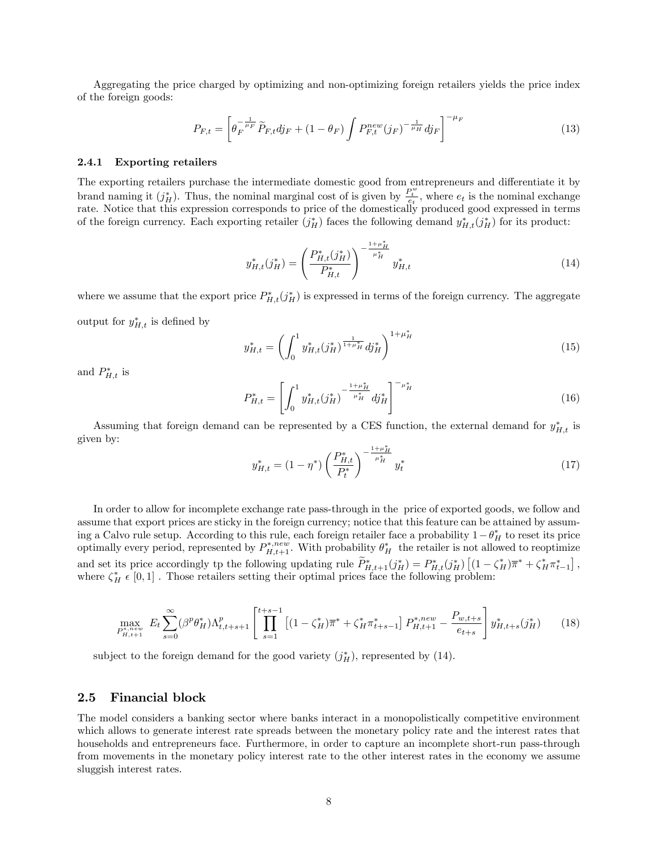Aggregating the price charged by optimizing and non-optimizing foreign retailers yields the price index of the foreign goods:

$$
P_{F,t} = \left[ \theta_F^{-\frac{1}{\mu_F}} \tilde{P}_{F,t} d j_F + (1 - \theta_F) \int P_{F,t}^{new}(j_F)^{-\frac{1}{\mu_H}} d j_F \right]^{-\mu_F}
$$
(13)

#### 2.4.1 Exporting retailers

The exporting retailers purchase the intermediate domestic good from entrepreneurs and differentiate it by brand naming it  $(j_H^*)$ . Thus, the nominal marginal cost of is given by  $\frac{P_t^w}{e_t}$ , where  $e_t$  is the nominal exchange rate. Notice that this expression corresponds to price of the domestically produced good expressed in terms of the foreign currency. Each exporting retailer  $(j_H^*)$  faces the following demand  $y_{H,t}^*(j_H^*)$  for its product:

$$
y_{H,t}^*(j_H^*) = \left(\frac{P_{H,t}^*(j_H^*)}{P_{H,t}^*}\right)^{-\frac{1+\mu_H^*}{\mu_H^*}} y_{H,t}^* \tag{14}
$$

where we assume that the export price  $P_{H,t}^*(j_H^*)$  is expressed in terms of the foreign currency. The aggregate output for  $y_{H,t}^*$  is defined by

$$
y_{H,t}^* = \left(\int_0^1 y_{H,t}^*(j_H^*)^{\frac{1}{1+\mu_H^*}} dy_H^*\right)^{1+\mu_H^*}
$$
(15)

and  $P_{H,t}^*$  is

$$
P_{H,t}^* = \left[ \int_0^1 y_{H,t}^*(j_H^*)^{-\frac{1+\mu_H^*}{\mu_H^*}} dj_H^* \right]^{-\mu_H^*}
$$
(16)

Assuming that foreign demand can be represented by a CES function, the external demand for  $y_{H,t}^*$  is given by:

$$
y_{H,t}^* = (1 - \eta^*) \left(\frac{P_{H,t}^*}{P_t^*}\right)^{-\frac{1 + \mu_H^*}{\mu_H^*}} y_t^* \tag{17}
$$

In order to allow for incomplete exchange rate pass-through in the price of exported goods, we follow and assume that export prices are sticky in the foreign currency; notice that this feature can be attained by assuming a Calvo rule setup. According to this rule, each foreign retailer face a probability  $1 - \theta_H^*$  to reset its price optimally every period, represented by  $P_{H,t+1}^{*,new}$ . With probability  $\theta_H^*$  the retailer is not allowed to reoptimize and set its price accordingly tp the following updating rule  $\widetilde{P}_{H,t+1}^*(j_H^*) = P_{H,t}^*(j_H^*) \left[ (1 - \zeta_H^*) \overline{\pi}^* + \zeta_H^* \pi_{t-1}^* \right],$ where  $\zeta_H^* \in [0,1]$ . Those retailers setting their optimal prices face the following problem:

$$
\max_{P_{H,t+1}^{*,new}} E_t \sum_{s=0}^{\infty} (\beta^p \theta_H^*) \Lambda_{t,t+s+1}^p \left[ \prod_{s=1}^{t+s-1} \left[ (1 - \zeta_H^*) \overline{\pi}^* + \zeta_H^* \pi_{t+s-1}^* \right] P_{H,t+1}^{*,new} - \frac{P_{w,t+s}}{e_{t+s}} \right] y_{H,t+s}^*(j_H^*) \tag{18}
$$

subject to the foreign demand for the good variety  $(j_H^*)$ , represented by (14).

## 2.5 Financial block

The model considers a banking sector where banks interact in a monopolistically competitive environment which allows to generate interest rate spreads between the monetary policy rate and the interest rates that households and entrepreneurs face. Furthermore, in order to capture an incomplete short-run pass-through from movements in the monetary policy interest rate to the other interest rates in the economy we assume sluggish interest rates.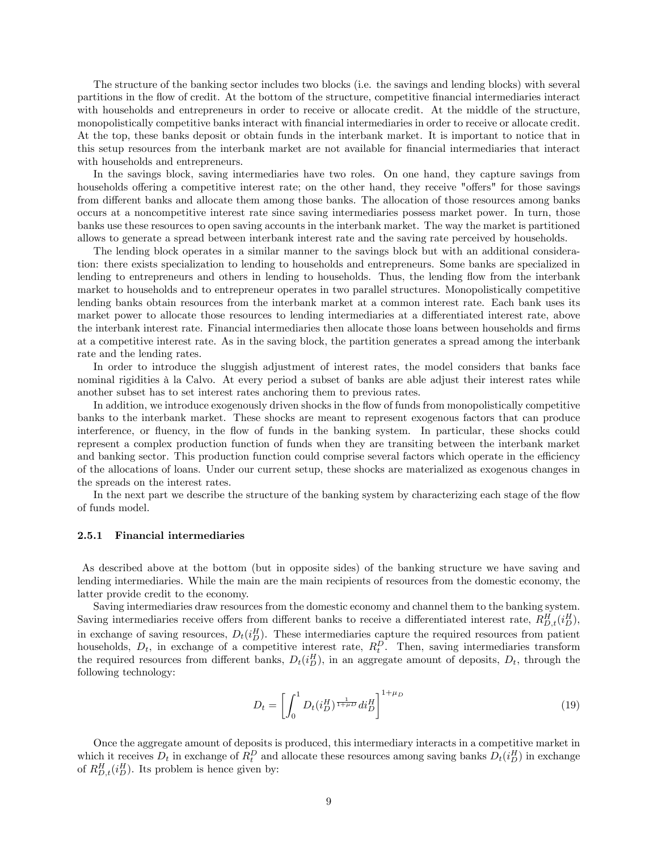The structure of the banking sector includes two blocks (i.e. the savings and lending blocks) with several partitions in the flow of credit. At the bottom of the structure, competitive financial intermediaries interact with households and entrepreneurs in order to receive or allocate credit. At the middle of the structure, monopolistically competitive banks interact with financial intermediaries in order to receive or allocate credit. At the top, these banks deposit or obtain funds in the interbank market. It is important to notice that in this setup resources from the interbank market are not available for Önancial intermediaries that interact with households and entrepreneurs.

In the savings block, saving intermediaries have two roles. On one hand, they capture savings from households offering a competitive interest rate; on the other hand, they receive "offers" for those savings from different banks and allocate them among those banks. The allocation of those resources among banks occurs at a noncompetitive interest rate since saving intermediaries possess market power. In turn, those banks use these resources to open saving accounts in the interbank market. The way the market is partitioned allows to generate a spread between interbank interest rate and the saving rate perceived by households.

The lending block operates in a similar manner to the savings block but with an additional consideration: there exists specialization to lending to households and entrepreneurs. Some banks are specialized in lending to entrepreneurs and others in lending to households. Thus, the lending flow from the interbank market to households and to entrepreneur operates in two parallel structures. Monopolistically competitive lending banks obtain resources from the interbank market at a common interest rate. Each bank uses its market power to allocate those resources to lending intermediaries at a differentiated interest rate, above the interbank interest rate. Financial intermediaries then allocate those loans between households and firms at a competitive interest rate. As in the saving block, the partition generates a spread among the interbank rate and the lending rates.

In order to introduce the sluggish adjustment of interest rates, the model considers that banks face nominal rigidities à la Calvo. At every period a subset of banks are able adjust their interest rates while another subset has to set interest rates anchoring them to previous rates.

In addition, we introduce exogenously driven shocks in the flow of funds from monopolistically competitive banks to the interbank market. These shocks are meant to represent exogenous factors that can produce interference, or fluency, in the flow of funds in the banking system. In particular, these shocks could represent a complex production function of funds when they are transiting between the interbank market and banking sector. This production function could comprise several factors which operate in the efficiency of the allocations of loans. Under our current setup, these shocks are materialized as exogenous changes in the spreads on the interest rates.

In the next part we describe the structure of the banking system by characterizing each stage of the flow of funds model.

### 2.5.1 Financial intermediaries

As described above at the bottom (but in opposite sides) of the banking structure we have saving and lending intermediaries. While the main are the main recipients of resources from the domestic economy, the latter provide credit to the economy.

Saving intermediaries draw resources from the domestic economy and channel them to the banking system. Saving intermediaries receive offers from different banks to receive a differentiated interest rate,  $R_{D,t}^H(i_D^H)$ , in exchange of saving resources,  $D_t(i_D^H)$ . These intermediaries capture the required resources from patient households,  $D_t$ , in exchange of a competitive interest rate,  $R_t^D$ . Then, saving intermediaries transform the required resources from different banks,  $D_t(i_D^H)$ , in an aggregate amount of deposits,  $D_t$ , through the following technology:

$$
D_t = \left[ \int_0^1 D_t (i_D^H)^{\frac{1}{1+\mu D}} di_D^H \right]^{1+\mu_D} \tag{19}
$$

Once the aggregate amount of deposits is produced, this intermediary interacts in a competitive market in which it receives  $D_t$  in exchange of  $R_t^D$  and allocate these resources among saving banks  $D_t(i_D^H)$  in exchange of  $R_{D,t}^H(i_D^H)$ . Its problem is hence given by: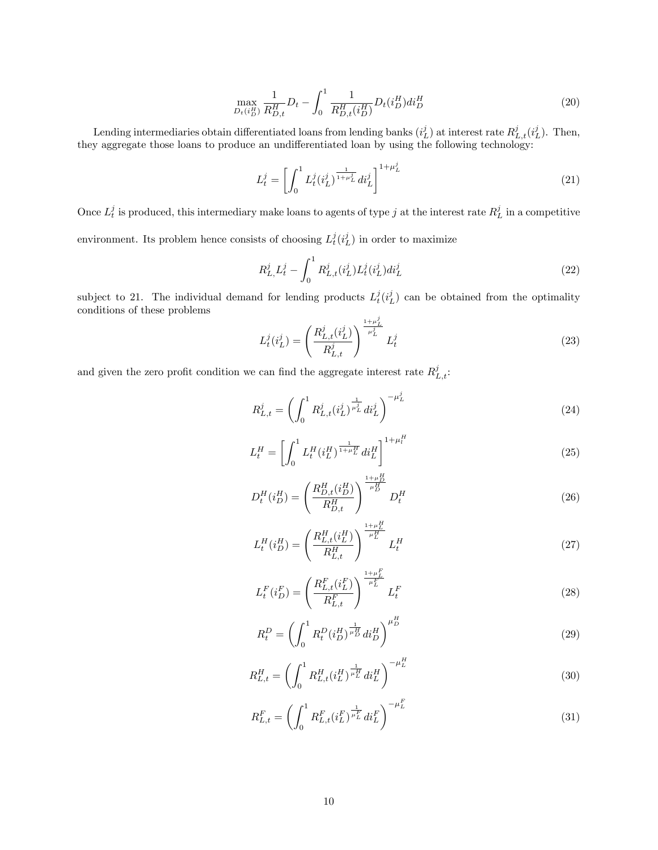$$
\max_{D_t(i_D^H)} \frac{1}{R_{D,t}^H} D_t - \int_0^1 \frac{1}{R_{D,t}^H(i_D^H)} D_t(i_D^H) di_D^H \tag{20}
$$

Lending intermediaries obtain differentiated loans from lending banks  $(i_L^j)$  at interest rate  $R_{L,t}^j(i_L^j)$ . Then, they aggregate those loans to produce an undifferentiated loan by using the following technology:

$$
L_t^j = \left[ \int_0^1 L_t^j (i_L^j)^{\frac{1}{1+\mu_L^j}} di_L^j \right]^{1+\mu_L^j} \tag{21}
$$

Once  $L_t^j$  is produced, this intermediary make loans to agents of type j at the interest rate  $R_L^j$  in a competitive environment. Its problem hence consists of choosing  $L_t^j(i_L^j)$  in order to maximize

$$
R_{L,}^{j}L_{t}^{j} - \int_{0}^{1} R_{L,t}^{j}(i_{L}^{j}) L_{t}^{j}(i_{L}^{j}) di_{L}^{j}
$$
\n(22)

subject to 21. The individual demand for lending products  $L_t^j(i_L^j)$  can be obtained from the optimality conditions of these problems

$$
L_t^j(i_L^j) = \left(\frac{R_{L,t}^j(i_L^j)}{R_{L,t}^j}\right)^{\frac{1+\mu_L^j}{\mu_L^j}} L_t^j
$$
 (23)

and given the zero profit condition we can find the aggregate interest rate  $R_{L,t}^{j}$ .

$$
R_{L,t}^{j} = \left(\int_{0}^{1} R_{L,t}^{j} (i_{L}^{j})^{\frac{1}{\mu_{L}^{j}}} di_{L}^{j}\right)^{-\mu_{L}^{j}}
$$
(24)

$$
L_t^H = \left[ \int_0^1 L_t^H (i_L^H)^{\frac{1}{1+\mu_L^H}} di_L^H \right]^{1+\mu_l^H} \tag{25}
$$

$$
D_t^H(i_D^H) = \left(\frac{R_{D,t}^H(i_D^H)}{R_{D,t}^H}\right)^{\frac{1+\mu_D^H}{\mu_D^H}} D_t^H
$$
\n(26)

$$
L_t^H(i_D^H) = \left(\frac{R_{L,t}^H(i_L^H)}{R_{L,t}^H}\right)^{\frac{1+\mu_L^H}{\mu_L^H}} L_t^H
$$
\n(27)

$$
L_{t}^{F}(i_{D}^{F}) = \left(\frac{R_{L,t}^{F}(i_{L}^{F})}{R_{L,t}^{F}}\right)^{\frac{1+\mu_{L}^{F}}{\mu_{L}^{F}}} L_{t}^{F}
$$
\n(28)

$$
R_t^D = \left(\int_0^1 R_t^D (i_D^H)^{\frac{1}{\mu_D^H}} di_D^H\right)^{\mu_D^H} \tag{29}
$$

$$
R_{L,t}^{H} = \left(\int_0^1 R_{L,t}^H (i_L^H)^{\frac{1}{\mu_L^H}} di_L^H\right)^{-\mu_L^H} \tag{30}
$$

$$
R_{L,t}^{F} = \left(\int_{0}^{1} R_{L,t}^{F} (i_{L}^{F})^{\frac{1}{\mu_{L}^{F}}} di_{L}^{F}\right)^{-\mu_{L}^{F}}
$$
(31)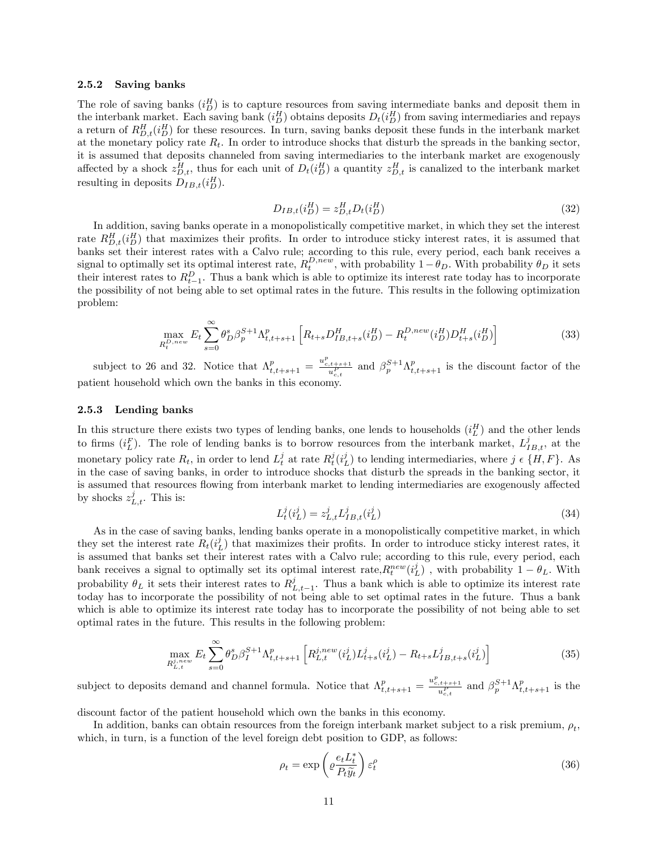#### 2.5.2 Saving banks

The role of saving banks  $(i_D^H)$  is to capture resources from saving intermediate banks and deposit them in the interbank market. Each saving bank  $(i_D^H)$  obtains deposits  $D_t(i_D^H)$  from saving intermediaries and repays a return of  $R_{D,t}^H(i_D^H)$  for these resources. In turn, saving banks deposit these funds in the interbank market at the monetary policy rate  $R_t$ . In order to introduce shocks that disturb the spreads in the banking sector, it is assumed that deposits channeled from saving intermediaries to the interbank market are exogenously affected by a shock  $z_{D,t}^H$ , thus for each unit of  $D_t(i_D^H)$  a quantity  $z_{D,t}^H$  is canalized to the interbank market resulting in deposits  $D_{IB,t}(i_D^H)$ .

$$
D_{IB,t}(i_D^H) = z_{D,t}^H D_t(i_D^H)
$$
\n(32)

In addition, saving banks operate in a monopolistically competitive market, in which they set the interest rate  $R_{D,t}^H(i_D^H)$  that maximizes their profits. In order to introduce sticky interest rates, it is assumed that banks set their interest rates with a Calvo rule; according to this rule, every period, each bank receives a signal to optimally set its optimal interest rate,  $R_t^{D,new}$ , with probability  $1-\theta_D$ . With probability  $\theta_D$  it sets their interest rates to  $R_{t-1}^D$ . Thus a bank which is able to optimize its interest rate today has to incorporate the possibility of not being able to set optimal rates in the future. This results in the following optimization problem:

$$
\max_{R_t^{D,new}} E_t \sum_{s=0}^{\infty} \theta_D^s \beta_p^{S+1} \Lambda_{t,t+s+1}^p \left[ R_{t+s} D_{IB,t+s}^H(i_D^H) - R_t^{D,new}(i_D^H) D_{t+s}^H(i_D^H) \right] \tag{33}
$$

subject to 26 and 32. Notice that  $\Lambda_{t,t+s+1}^p = \frac{u_{c,t+s+1}^p}{u_{c,t}^p}$  and  $\beta_p^{S+1}\Lambda_{t,t+s+1}^p$  is the discount factor of the patient household which own the banks in this economy.

#### 2.5.3 Lending banks

In this structure there exists two types of lending banks, one lends to households  $(i_L^H)$  and the other lends to firms  $(i_L^F)$ . The role of lending banks is to borrow resources from the interbank market,  $L_{IB,t}^j$ , at the monetary policy rate  $R_t$ , in order to lend  $L_t^j$  at rate  $R_t^j(i_L^j)$  to lending intermediaries, where  $j \in \{H, F\}$ . As in the case of saving banks, in order to introduce shocks that disturb the spreads in the banking sector, it is assumed that resources flowing from interbank market to lending intermediaries are exogenously affected by shocks  $z_{L,t}^j$ . This is:

$$
L_t^j(i_L^j) = z_{L,t}^j L_{IB,t}^j(i_L^j)
$$
\n(34)

As in the case of saving banks, lending banks operate in a monopolistically competitive market, in which they set the interest rate  $R_t(i_L^j)$  that maximizes their profits. In order to introduce sticky interest rates, it is assumed that banks set their interest rates with a Calvo rule; according to this rule, every period, each bank receives a signal to optimally set its optimal interest rate,  $R_t^{new}(i_L^j)$ , with probability  $1 - \theta_L$ . With probability  $\theta_L$  it sets their interest rates to  $R_{L,t-1}^j$ . Thus a bank which is able to optimize its interest rate today has to incorporate the possibility of not being able to set optimal rates in the future. Thus a bank which is able to optimize its interest rate today has to incorporate the possibility of not being able to set optimal rates in the future. This results in the following problem:

$$
\max_{R_{L,t}^{j,new}} E_t \sum_{s=0}^{\infty} \theta_D^s \beta_I^{S+1} \Lambda_{t,t+s+1}^p \left[ R_{L,t}^{j,new}(i_L^j) L_{t+s}^j(i_L^j) - R_{t+s} L_{IB,t+s}^j(i_L^j) \right]
$$
(35)

subject to deposits demand and channel formula. Notice that  $\Lambda_{t,t+s+1}^p = \frac{u_{c,t+s+1}^p}{u_{c,t}^p}$  and  $\beta_p^{S+1} \Lambda_{t,t+s+1}^p$  is the

discount factor of the patient household which own the banks in this economy.

In addition, banks can obtain resources from the foreign interbank market subject to a risk premium,  $\rho_t$ , which, in turn, is a function of the level foreign debt position to GDP, as follows:

$$
\rho_t = \exp\left(\varrho \frac{e_t L_t^*}{P_t \tilde{y}_t}\right) \varepsilon_t^\rho \tag{36}
$$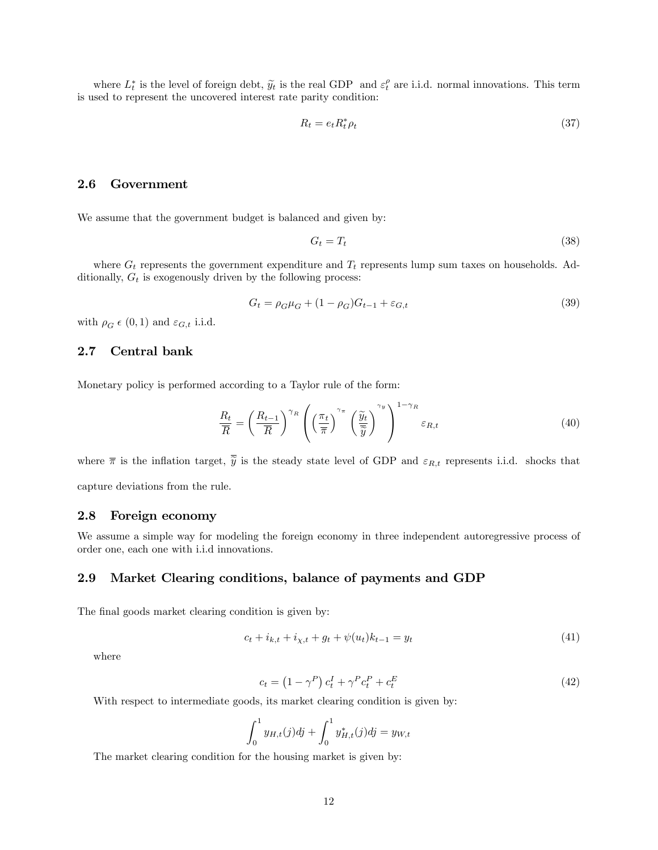where  $L_t^*$  is the level of foreign debt,  $\widetilde{y}_t$  is the real GDP and  $\varepsilon_t^{\rho}$  are i.i.d. normal innovations. This term is used to represent the uncovered interest rate parity condition:

$$
R_t = e_t R_t^* \rho_t \tag{37}
$$

## 2.6 Government

We assume that the government budget is balanced and given by:

$$
G_t = T_t \tag{38}
$$

where  $G_t$  represents the government expenditure and  $T_t$  represents lump sum taxes on households. Additionally,  $G_t$  is exogenously driven by the following process:

$$
G_t = \rho_G \mu_G + (1 - \rho_G) G_{t-1} + \varepsilon_{G,t}
$$
\n(39)

with  $\rho_G \in (0, 1)$  and  $\varepsilon_{G,t}$  i.i.d.

## 2.7 Central bank

Monetary policy is performed according to a Taylor rule of the form:

$$
\frac{R_t}{\overline{R}} = \left(\frac{R_{t-1}}{\overline{R}}\right)^{\gamma_R} \left(\left(\frac{\pi_t}{\overline{\pi}}\right)^{\gamma_{\pi}} \left(\frac{\widetilde{y}_t}{\overline{\widetilde{y}}}\right)^{\gamma_y}\right)^{1-\gamma_R} \varepsilon_{R,t}
$$
\n(40)

where  $\bar{\pi}$  is the inflation target,  $\bar{\tilde{y}}$  is the steady state level of GDP and  $\varepsilon_{R,t}$  represents i.i.d. shocks that capture deviations from the rule.

## 2.8 Foreign economy

We assume a simple way for modeling the foreign economy in three independent autoregressive process of order one, each one with i.i.d innovations.

# 2.9 Market Clearing conditions, balance of payments and GDP

The final goods market clearing condition is given by:

$$
c_t + i_{k,t} + i_{\chi,t} + g_t + \psi(u_t)k_{t-1} = y_t
$$
\n(41)

where

$$
c_t = \left(1 - \gamma^P\right)c_t^I + \gamma^P c_t^P + c_t^E \tag{42}
$$

With respect to intermediate goods, its market clearing condition is given by:

$$
\int_0^1 y_{H,t}(j)dj + \int_0^1 y_{H,t}^*(j)dj = y_{W,t}
$$

The market clearing condition for the housing market is given by: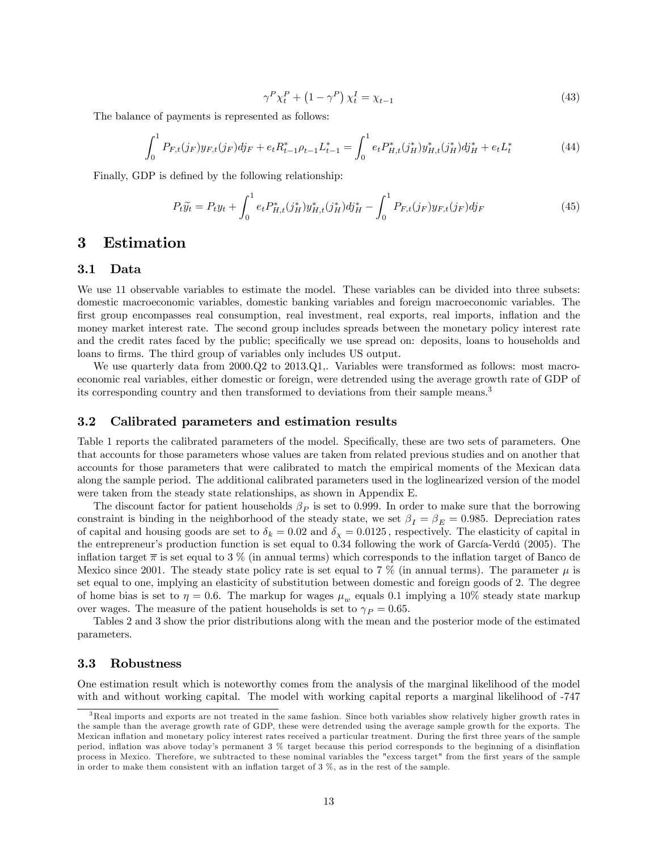$$
\gamma^P \chi_t^P + \left(1 - \gamma^P\right) \chi_t^I = \chi_{t-1} \tag{43}
$$

The balance of payments is represented as follows:

$$
\int_0^1 P_{F,t}(j_F) y_{F,t}(j_F) d j_F + e_t R_{t-1}^* \rho_{t-1} L_{t-1}^* = \int_0^1 e_t P_{H,t}^*(j_H^*) y_{H,t}^*(j_H^*) d j_H^* + e_t L_t^*
$$
(44)

Finally, GDP is defined by the following relationship:

$$
P_t \tilde{y}_t = P_t y_t + \int_0^1 e_t P_{H,t}^*(j_H^*) y_{H,t}^*(j_H^*) d j_H^* - \int_0^1 P_{F,t}(j_F) y_{F,t}(j_F) d j_F
$$
\n(45)

# 3 Estimation

### 3.1 Data

We use 11 observable variables to estimate the model. These variables can be divided into three subsets: domestic macroeconomic variables, domestic banking variables and foreign macroeconomic variables. The first group encompasses real consumption, real investment, real exports, real imports, inflation and the money market interest rate. The second group includes spreads between the monetary policy interest rate and the credit rates faced by the public; specifically we use spread on: deposits, loans to households and loans to firms. The third group of variables only includes US output.

We use quarterly data from  $2000 \text{Q}2$  to  $2013 \text{Q}1$ ,. Variables were transformed as follows: most macroeconomic real variables, either domestic or foreign, were detrended using the average growth rate of GDP of its corresponding country and then transformed to deviations from their sample means.<sup>3</sup>

### 3.2 Calibrated parameters and estimation results

Table 1 reports the calibrated parameters of the model. Specifically, these are two sets of parameters. One that accounts for those parameters whose values are taken from related previous studies and on another that accounts for those parameters that were calibrated to match the empirical moments of the Mexican data along the sample period. The additional calibrated parameters used in the loglinearized version of the model were taken from the steady state relationships, as shown in Appendix E.

The discount factor for patient households  $\beta_P$  is set to 0.999. In order to make sure that the borrowing constraint is binding in the neighborhood of the steady state, we set  $\beta_I = \beta_E = 0.985$ . Depreciation rates of capital and housing goods are set to  $\delta_k = 0.02$  and  $\delta_{\chi} = 0.0125$ , respectively. The elasticity of capital in the entrepreneur's production function is set equal to 0.34 following the work of García-Verdú (2005). The inflation target  $\bar{\pi}$  is set equal to 3 % (in annual terms) which corresponds to the inflation target of Banco de Mexico since 2001. The steady state policy rate is set equal to 7 % (in annual terms). The parameter  $\mu$  is set equal to one, implying an elasticity of substitution between domestic and foreign goods of 2. The degree of home bias is set to  $\eta = 0.6$ . The markup for wages  $\mu_w$  equals 0.1 implying a 10% steady state markup over wages. The measure of the patient households is set to  $\gamma_P = 0.65$ .

Tables 2 and 3 show the prior distributions along with the mean and the posterior mode of the estimated parameters.

## 3.3 Robustness

One estimation result which is noteworthy comes from the analysis of the marginal likelihood of the model with and without working capital. The model with working capital reports a marginal likelihood of -747

<sup>3</sup>Real imports and exports are not treated in the same fashion. Since both variables show relatively higher growth rates in the sample than the average growth rate of GDP, these were detrended using the average sample growth for the exports. The Mexican inflation and monetary policy interest rates received a particular treatment. During the first three years of the sample period, inflation was above today's permanent 3 % target because this period corresponds to the beginning of a disinflation process in Mexico. Therefore, we subtracted to these nominal variables the "excess target" from the first years of the sample in order to make them consistent with an inflation target of  $3\%$ , as in the rest of the sample.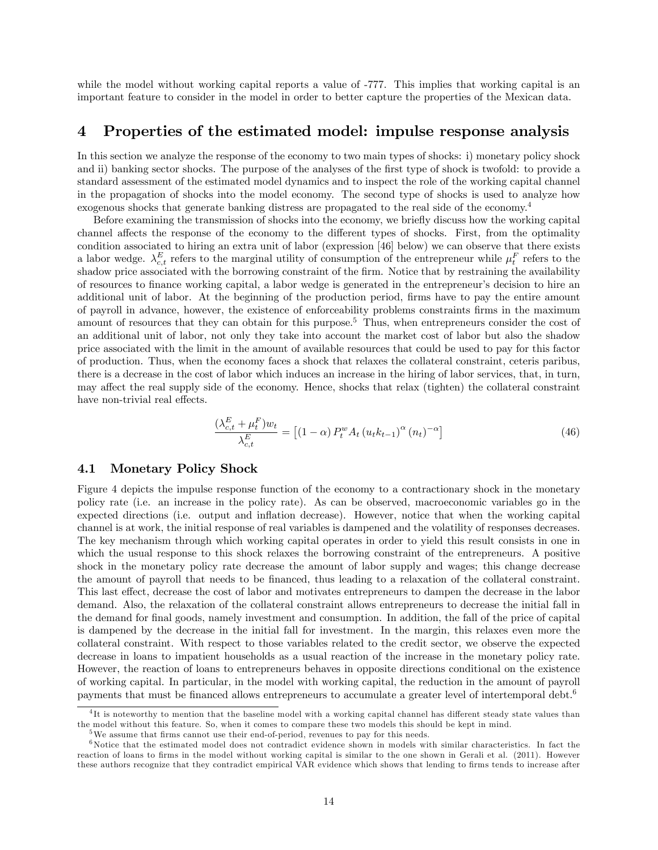while the model without working capital reports a value of -777. This implies that working capital is an important feature to consider in the model in order to better capture the properties of the Mexican data.

# 4 Properties of the estimated model: impulse response analysis

In this section we analyze the response of the economy to two main types of shocks: i) monetary policy shock and ii) banking sector shocks. The purpose of the analyses of the first type of shock is twofold: to provide a standard assessment of the estimated model dynamics and to inspect the role of the working capital channel in the propagation of shocks into the model economy. The second type of shocks is used to analyze how exogenous shocks that generate banking distress are propagated to the real side of the economy.<sup>4</sup>

Before examining the transmission of shocks into the economy, we briefly discuss how the working capital channel affects the response of the economy to the different types of shocks. First, from the optimality condition associated to hiring an extra unit of labor (expression [46] below) we can observe that there exists a labor wedge.  $\lambda_{c,t}^E$  refers to the marginal utility of consumption of the entrepreneur while  $\mu_t^F$  refers to the shadow price associated with the borrowing constraint of the firm. Notice that by restraining the availability of resources to finance working capital, a labor wedge is generated in the entrepreneur's decision to hire an additional unit of labor. At the beginning of the production period, firms have to pay the entire amount of payroll in advance, however, the existence of enforceability problems constraints Örms in the maximum amount of resources that they can obtain for this purpose.<sup>5</sup> Thus, when entrepreneurs consider the cost of an additional unit of labor, not only they take into account the market cost of labor but also the shadow price associated with the limit in the amount of available resources that could be used to pay for this factor of production. Thus, when the economy faces a shock that relaxes the collateral constraint, ceteris paribus, there is a decrease in the cost of labor which induces an increase in the hiring of labor services, that, in turn, may affect the real supply side of the economy. Hence, shocks that relax (tighten) the collateral constraint have non-trivial real effects.

$$
\frac{(\lambda_{c,t}^{E} + \mu_t^{F})w_t}{\lambda_{c,t}^{E}} = \left[ (1 - \alpha) P_t^w A_t \left( u_t k_{t-1} \right)^{\alpha} \left( n_t \right)^{-\alpha} \right]
$$
\n
$$
(46)
$$

# 4.1 Monetary Policy Shock

Figure 4 depicts the impulse response function of the economy to a contractionary shock in the monetary policy rate (i.e. an increase in the policy rate). As can be observed, macroeconomic variables go in the expected directions (i.e. output and inflation decrease). However, notice that when the working capital channel is at work, the initial response of real variables is dampened and the volatility of responses decreases. The key mechanism through which working capital operates in order to yield this result consists in one in which the usual response to this shock relaxes the borrowing constraint of the entrepreneurs. A positive shock in the monetary policy rate decrease the amount of labor supply and wages; this change decrease the amount of payroll that needs to be financed, thus leading to a relaxation of the collateral constraint. This last effect, decrease the cost of labor and motivates entrepreneurs to dampen the decrease in the labor demand. Also, the relaxation of the collateral constraint allows entrepreneurs to decrease the initial fall in the demand for Önal goods, namely investment and consumption. In addition, the fall of the price of capital is dampened by the decrease in the initial fall for investment. In the margin, this relaxes even more the collateral constraint. With respect to those variables related to the credit sector, we observe the expected decrease in loans to impatient households as a usual reaction of the increase in the monetary policy rate. However, the reaction of loans to entrepreneurs behaves in opposite directions conditional on the existence of working capital. In particular, in the model with working capital, the reduction in the amount of payroll payments that must be financed allows entrepreneurs to accumulate a greater level of intertemporal debt.<sup>6</sup>

 $^{4}$ It is noteworthy to mention that the baseline model with a working capital channel has different steady state values than the model without this feature. So, when it comes to compare these two models this should be kept in mind.

<sup>&</sup>lt;sup>5</sup>We assume that firms cannot use their end-of-period, revenues to pay for this needs.

 $6$ Notice that the estimated model does not contradict evidence shown in models with similar characteristics. In fact the reaction of loans to firms in the model without working capital is similar to the one shown in Gerali et al. (2011). However these authors recognize that they contradict empirical VAR evidence which shows that lending to firms tends to increase after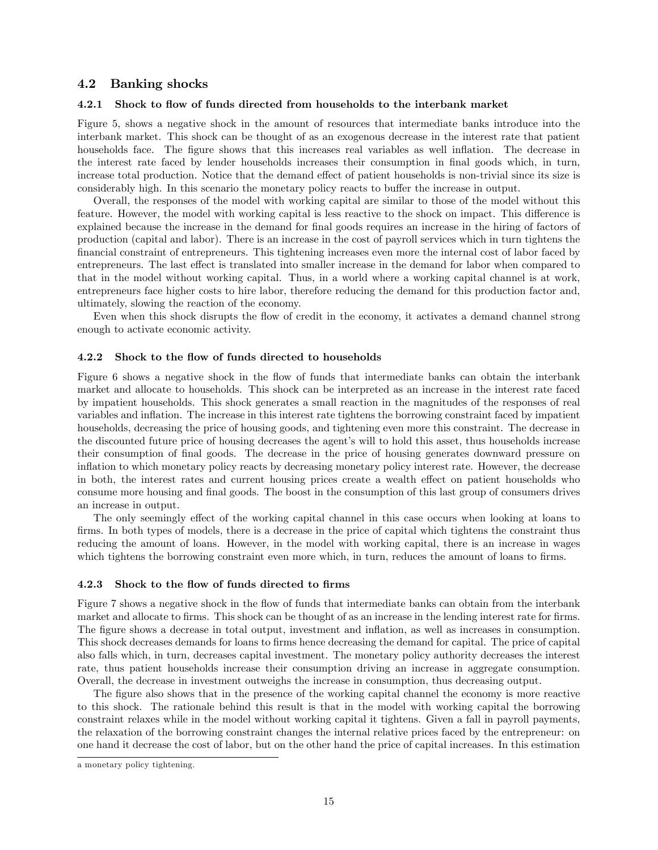## 4.2 Banking shocks

### 4.2.1 Shock to flow of funds directed from households to the interbank market

Figure 5, shows a negative shock in the amount of resources that intermediate banks introduce into the interbank market. This shock can be thought of as an exogenous decrease in the interest rate that patient households face. The figure shows that this increases real variables as well inflation. The decrease in the interest rate faced by lender households increases their consumption in final goods which, in turn, increase total production. Notice that the demand effect of patient households is non-trivial since its size is considerably high. In this scenario the monetary policy reacts to buffer the increase in output.

Overall, the responses of the model with working capital are similar to those of the model without this feature. However, the model with working capital is less reactive to the shock on impact. This difference is explained because the increase in the demand for final goods requires an increase in the hiring of factors of production (capital and labor). There is an increase in the cost of payroll services which in turn tightens the Önancial constraint of entrepreneurs. This tightening increases even more the internal cost of labor faced by entrepreneurs. The last effect is translated into smaller increase in the demand for labor when compared to that in the model without working capital. Thus, in a world where a working capital channel is at work, entrepreneurs face higher costs to hire labor, therefore reducing the demand for this production factor and, ultimately, slowing the reaction of the economy.

Even when this shock disrupts the flow of credit in the economy, it activates a demand channel strong enough to activate economic activity.

#### 4.2.2 Shock to the flow of funds directed to households

Figure 6 shows a negative shock in the flow of funds that intermediate banks can obtain the interbank market and allocate to households. This shock can be interpreted as an increase in the interest rate faced by impatient households. This shock generates a small reaction in the magnitudes of the responses of real variables and ináation. The increase in this interest rate tightens the borrowing constraint faced by impatient households, decreasing the price of housing goods, and tightening even more this constraint. The decrease in the discounted future price of housing decreases the agent's will to hold this asset, thus households increase their consumption of Önal goods. The decrease in the price of housing generates downward pressure on ináation to which monetary policy reacts by decreasing monetary policy interest rate. However, the decrease in both, the interest rates and current housing prices create a wealth effect on patient households who consume more housing and final goods. The boost in the consumption of this last group of consumers drives an increase in output.

The only seemingly effect of the working capital channel in this case occurs when looking at loans to firms. In both types of models, there is a decrease in the price of capital which tightens the constraint thus reducing the amount of loans. However, in the model with working capital, there is an increase in wages which tightens the borrowing constraint even more which, in turn, reduces the amount of loans to firms.

#### 4.2.3 Shock to the flow of funds directed to firms

Figure 7 shows a negative shock in the flow of funds that intermediate banks can obtain from the interbank market and allocate to firms. This shock can be thought of as an increase in the lending interest rate for firms. The figure shows a decrease in total output, investment and inflation, as well as increases in consumption. This shock decreases demands for loans to firms hence decreasing the demand for capital. The price of capital also falls which, in turn, decreases capital investment. The monetary policy authority decreases the interest rate, thus patient households increase their consumption driving an increase in aggregate consumption. Overall, the decrease in investment outweighs the increase in consumption, thus decreasing output.

The figure also shows that in the presence of the working capital channel the economy is more reactive to this shock. The rationale behind this result is that in the model with working capital the borrowing constraint relaxes while in the model without working capital it tightens. Given a fall in payroll payments, the relaxation of the borrowing constraint changes the internal relative prices faced by the entrepreneur: on one hand it decrease the cost of labor, but on the other hand the price of capital increases. In this estimation

a monetary policy tightening.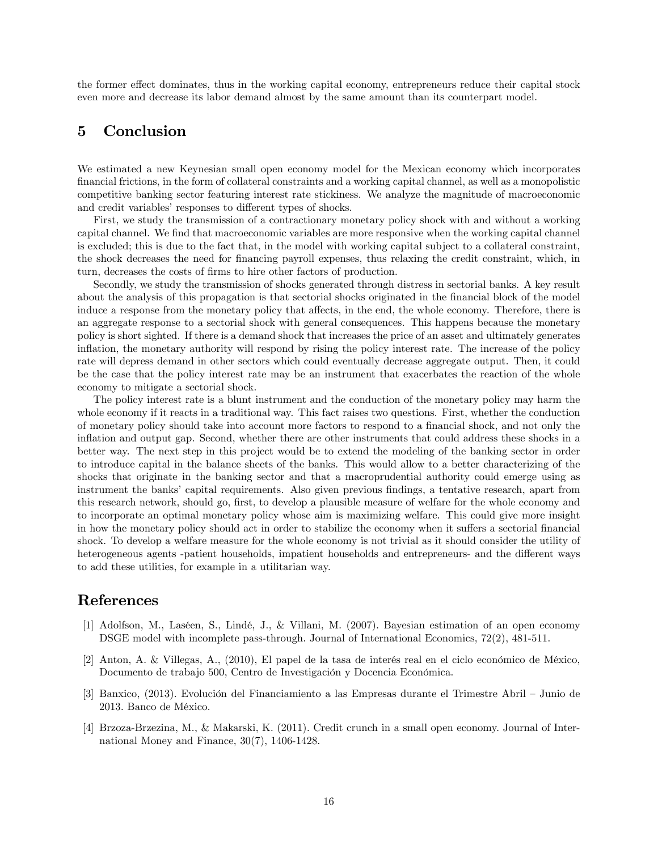the former effect dominates, thus in the working capital economy, entrepreneurs reduce their capital stock even more and decrease its labor demand almost by the same amount than its counterpart model.

# 5 Conclusion

We estimated a new Keynesian small open economy model for the Mexican economy which incorporates Önancial frictions, in the form of collateral constraints and a working capital channel, as well as a monopolistic competitive banking sector featuring interest rate stickiness. We analyze the magnitude of macroeconomic and credit variables' responses to different types of shocks.

First, we study the transmission of a contractionary monetary policy shock with and without a working capital channel. We find that macroeconomic variables are more responsive when the working capital channel is excluded; this is due to the fact that, in the model with working capital subject to a collateral constraint, the shock decreases the need for financing payroll expenses, thus relaxing the credit constraint, which, in turn, decreases the costs of firms to hire other factors of production.

Secondly, we study the transmission of shocks generated through distress in sectorial banks. A key result about the analysis of this propagation is that sectorial shocks originated in the financial block of the model induce a response from the monetary policy that affects, in the end, the whole economy. Therefore, there is an aggregate response to a sectorial shock with general consequences. This happens because the monetary policy is short sighted. If there is a demand shock that increases the price of an asset and ultimately generates inflation, the monetary authority will respond by rising the policy interest rate. The increase of the policy rate will depress demand in other sectors which could eventually decrease aggregate output. Then, it could be the case that the policy interest rate may be an instrument that exacerbates the reaction of the whole economy to mitigate a sectorial shock.

The policy interest rate is a blunt instrument and the conduction of the monetary policy may harm the whole economy if it reacts in a traditional way. This fact raises two questions. First, whether the conduction of monetary policy should take into account more factors to respond to a financial shock, and not only the ináation and output gap. Second, whether there are other instruments that could address these shocks in a better way. The next step in this project would be to extend the modeling of the banking sector in order to introduce capital in the balance sheets of the banks. This would allow to a better characterizing of the shocks that originate in the banking sector and that a macroprudential authority could emerge using as instrument the banks' capital requirements. Also given previous findings, a tentative research, apart from this research network, should go, first, to develop a plausible measure of welfare for the whole economy and to incorporate an optimal monetary policy whose aim is maximizing welfare. This could give more insight in how the monetary policy should act in order to stabilize the economy when it suffers a sectorial financial shock. To develop a welfare measure for the whole economy is not trivial as it should consider the utility of heterogeneous agents -patient households, impatient households and entrepreneurs- and the different ways to add these utilities, for example in a utilitarian way.

# References

- [1] Adolfson, M., Laséen, S., Lindé, J., & Villani, M. (2007). Bayesian estimation of an open economy DSGE model with incomplete pass-through. Journal of International Economics, 72(2), 481-511.
- $[2]$  Anton, A. & Villegas, A.,  $(2010)$ , El papel de la tasa de interés real en el ciclo económico de México, Documento de trabajo 500, Centro de Investigación y Docencia Económica.
- [3] Banxico, (2013). Evolución del Financiamiento a las Empresas durante el Trimestre Abril Junio de 2013. Banco de MÈxico.
- [4] Brzoza-Brzezina, M., & Makarski, K. (2011). Credit crunch in a small open economy. Journal of International Money and Finance, 30(7), 1406-1428.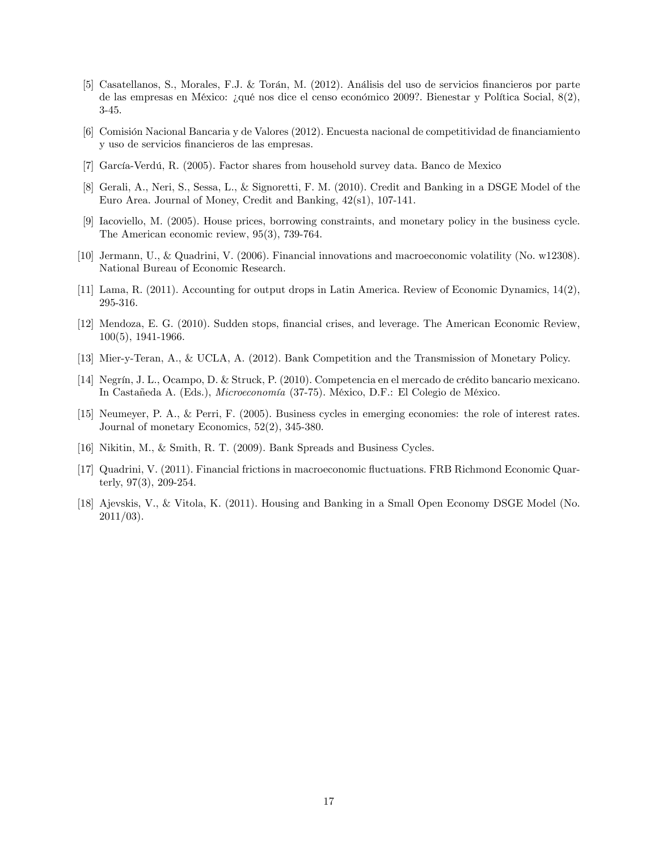- [5] Casatellanos, S., Morales, F.J. & Torán, M. (2012). Análisis del uso de servicios financieros por parte de las empresas en México: ¿qué nos dice el censo económico 2009?. Bienestar y Política Social,  $8(2)$ , 3-45.
- [6] Comisión Nacional Bancaria y de Valores (2012). Encuesta nacional de competitividad de financiamiento y uso de servicios financieros de las empresas.
- [7] García-Verdú, R. (2005). Factor shares from household survey data. Banco de Mexico
- [8] Gerali, A., Neri, S., Sessa, L., & Signoretti, F. M. (2010). Credit and Banking in a DSGE Model of the Euro Area. Journal of Money, Credit and Banking, 42(s1), 107-141.
- [9] Iacoviello, M. (2005). House prices, borrowing constraints, and monetary policy in the business cycle. The American economic review, 95(3), 739-764.
- [10] Jermann, U., & Quadrini, V. (2006). Financial innovations and macroeconomic volatility (No. w12308). National Bureau of Economic Research.
- [11] Lama, R. (2011). Accounting for output drops in Latin America. Review of Economic Dynamics, 14(2), 295-316.
- [12] Mendoza, E. G. (2010). Sudden stops, Önancial crises, and leverage. The American Economic Review, 100(5), 1941-1966.
- [13] Mier-y-Teran, A., & UCLA, A. (2012). Bank Competition and the Transmission of Monetary Policy.
- [14] Negrín, J. L., Ocampo, D. & Struck, P. (2010). Competencia en el mercado de crédito bancario mexicano. In Castañeda A. (Eds.), *Microeconomía* (37-75). México, D.F.: El Colegio de México.
- [15] Neumeyer, P. A., & Perri, F. (2005). Business cycles in emerging economies: the role of interest rates. Journal of monetary Economics, 52(2), 345-380.
- [16] Nikitin, M., & Smith, R. T. (2009). Bank Spreads and Business Cycles.
- [17] Quadrini, V. (2011). Financial frictions in macroeconomic áuctuations. FRB Richmond Economic Quarterly, 97(3), 209-254.
- [18] Ajevskis, V., & Vitola, K. (2011). Housing and Banking in a Small Open Economy DSGE Model (No. 2011/03).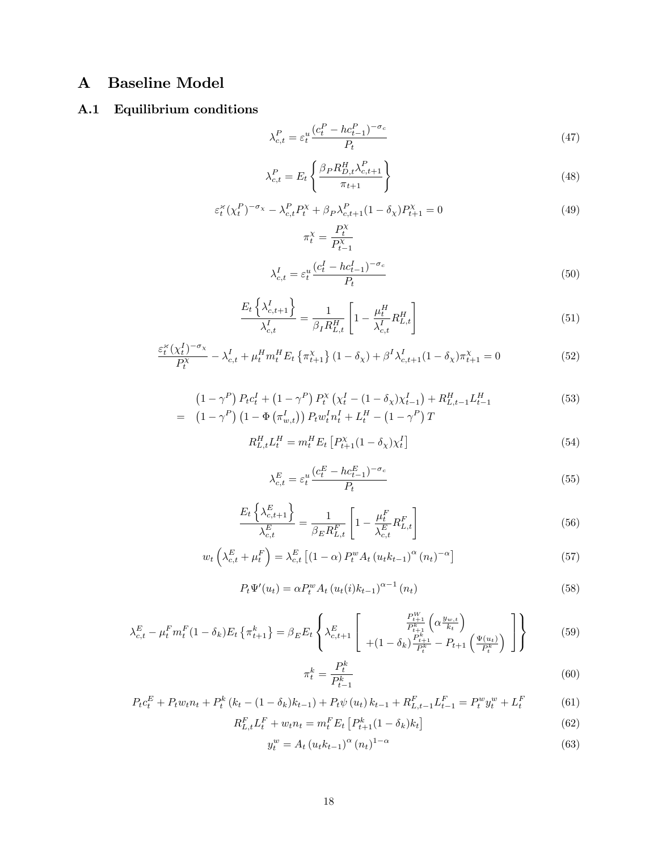# A Baseline Model

# A.1 Equilibrium conditions

$$
\lambda_{c,t}^P = \varepsilon_t^u \frac{(c_t^P - hc_{t-1}^P)^{-\sigma_c}}{P_t} \tag{47}
$$

$$
\lambda_{c,t}^P = E_t \left\{ \frac{\beta_P R_{D,t}^H \lambda_{c,t+1}^P}{\pi_{t+1}} \right\}
$$
\n
$$
\tag{48}
$$

$$
\varepsilon_t^{\varkappa} (\chi_t^P)^{-\sigma_\chi} - \lambda_{c,t}^P P_t^{\chi} + \beta_P \lambda_{c,t+1}^P (1 - \delta_\chi) P_{t+1}^{\chi} = 0
$$
\n
$$
\pi_t^{\chi} = \frac{P_t^{\chi}}{P_t^{\chi}}
$$
\n(49)

$$
\pi_t = \frac{1}{P_{t-1}^{\chi}}
$$
\n
$$
\lambda_{c,t}^I = \varepsilon_t^u \frac{(c_t^I - hc_{t-1}^I)^{-\sigma_c}}{P_t}
$$
\n(50)

$$
\frac{E_t\left\{\lambda_{c,t+1}^I\right\}}{\lambda_{c,t}^I} = \frac{1}{\beta_I R_{L,t}^H} \left[1 - \frac{\mu_t^H}{\lambda_{c,t}^I} R_{L,t}^H\right]
$$
\n
$$
\tag{51}
$$

$$
\frac{\varepsilon_t^{\varepsilon} (\chi_t^I)^{-\sigma_{\chi}}}{P_t^{\chi}} - \lambda_{c,t}^I + \mu_t^H m_t^H E_t \left\{ \pi_{t+1}^{\chi} \right\} (1 - \delta_{\chi}) + \beta^I \lambda_{c,t+1}^I (1 - \delta_{\chi}) \pi_{t+1}^{\chi} = 0 \tag{52}
$$

$$
(1 - \gamma^P) P_t c_t^I + (1 - \gamma^P) P_t^{\chi} (\chi_t^I - (1 - \delta_{\chi}) \chi_{t-1}^I) + R_{L, t-1}^H L_{t-1}^H
$$
\n
$$
= (1 - \gamma^P) (1 - \Phi(\pi_{w, t}^I)) P_t w_t^I n_t^I + L_t^H - (1 - \gamma^P) T
$$
\n(53)

$$
R_{L,t}^H L_t^H = m_t^H E_t \left[ P_{t+1}^\chi (1 - \delta_\chi) \chi_t^I \right] \tag{54}
$$

$$
\lambda_{c,t}^{E} = \varepsilon_t^u \frac{(c_t^E - hc_{t-1}^E)^{-\sigma_c}}{P_t} \tag{55}
$$

$$
\frac{E_t\left\{\lambda_{c,t+1}^E\right\}}{\lambda_{c,t}^E} = \frac{1}{\beta_E R_{L,t}^F} \left[1 - \frac{\mu_t^F}{\lambda_{c,t}^E} R_{L,t}^F\right]
$$
\n
$$
(56)
$$

$$
w_t\left(\lambda_{c,t}^E + \mu_t^F\right) = \lambda_{c,t}^E \left[ (1-\alpha) P_t^w A_t \left(u_t k_{t-1}\right)^\alpha (n_t)^{-\alpha} \right] \tag{57}
$$

$$
P_t \Psi'(u_t) = \alpha P_t^w A_t (u_t(i) k_{t-1})^{\alpha - 1} (n_t)
$$
\n(58)

$$
\lambda_{c,t}^{E} - \mu_{t}^{F} m_{t}^{F} (1 - \delta_{k}) E_{t} \left\{ \pi_{t+1}^{k} \right\} = \beta_{E} E_{t} \left\{ \lambda_{c,t+1}^{E} \left[ \begin{array}{c} P_{t+1}^{W} \left( \alpha \frac{y_{w,t}}{k_{t}} \right) \\ + (1 - \delta_{k}) \frac{P_{t+1}^{k}}{P_{t}^{k}} - P_{t+1} \left( \frac{\Psi(u_{t})}{P_{t}} \right) \\ \end{array} \right] \right\}
$$
(59)

$$
\pi_t^k = \frac{P_t^k}{P_{t-1}^k} \tag{60}
$$

$$
P_t c_t^E + P_t w_t n_t + P_t^k (k_t - (1 - \delta_k) k_{t-1}) + P_t \psi (u_t) k_{t-1} + R_{L,t-1}^F L_{t-1}^F = P_t^w y_t^w + L_t^F
$$
(61)

$$
R_{L,t}^{F} L_{t}^{F} + w_{t} n_{t} = m_{t}^{F} E_{t} \left[ P_{t+1}^{k} (1 - \delta_{k}) k_{t} \right]
$$
\n(62)

$$
y_t^w = A_t \left( u_t k_{t-1} \right)^\alpha (n_t)^{1-\alpha} \tag{63}
$$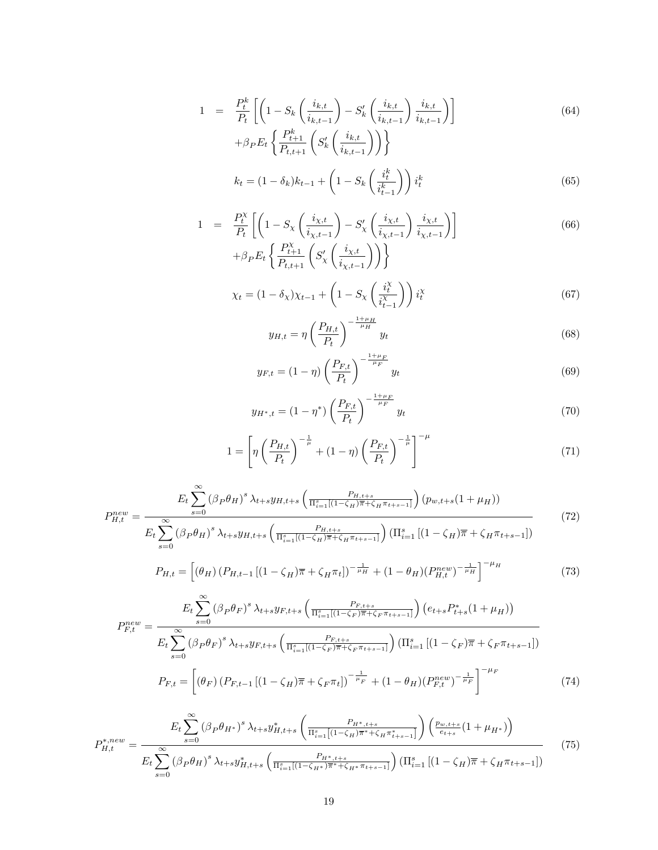$$
1 = \frac{P_t^k}{P_t} \left[ \left( 1 - S_k \left( \frac{i_{k,t}}{i_{k,t-1}} \right) - S'_k \left( \frac{i_{k,t}}{i_{k,t-1}} \right) \frac{i_{k,t}}{i_{k,t-1}} \right) \right] + \beta_P E_t \left\{ \frac{P_{t+1}^k}{P_{t,t+1}} \left( S'_k \left( \frac{i_{k,t}}{i_{k,t-1}} \right) \right) \right\}
$$
(64)

$$
k_t = (1 - \delta_k)k_{t-1} + \left(1 - S_k \left(\frac{i_t^k}{i_{t-1}^k}\right)\right) i_t^k
$$
\n(65)

$$
1 = \frac{P_t^X}{P_t} \left[ \left( 1 - S_\chi \left( \frac{i_{\chi,t}}{i_{\chi,t-1}} \right) - S_\chi' \left( \frac{i_{\chi,t}}{i_{\chi,t-1}} \right) \frac{i_{\chi,t}}{i_{\chi,t-1}} \right) \right]
$$
  
+  $\beta_P E_t \left\{ \frac{P_{t+1}^X}{P_{t,t+1}} \left( S_\chi' \left( \frac{i_{\chi,t}}{i_{\chi,t-1}} \right) \right) \right\}$  (66)

$$
\chi_t = (1 - \delta_\chi)\chi_{t-1} + \left(1 - S_\chi\left(\frac{i_t^\chi}{i_{t-1}^\chi}\right)\right)i_t^\chi\tag{67}
$$

$$
y_{H,t} = \eta \left(\frac{P_{H,t}}{P_t}\right)^{-\frac{1+\mu_H}{\mu_H}} y_t \tag{68}
$$

$$
y_{F,t} = (1 - \eta) \left(\frac{P_{F,t}}{P_t}\right)^{-\frac{1+\mu_F}{\mu_F}} y_t
$$
\n(69)

$$
y_{H^*,t} = (1 - \eta^*) \left(\frac{P_{F,t}}{P_t}\right)^{-\frac{1 + \mu_F}{\mu_F}} y_t \tag{70}
$$

$$
1 = \left[ \eta \left( \frac{P_{H,t}}{P_t} \right)^{-\frac{1}{\mu}} + (1 - \eta) \left( \frac{P_{F,t}}{P_t} \right)^{-\frac{1}{\mu}} \right]^{-\mu} \tag{71}
$$

$$
P_{H,t}^{new} = \frac{E_t \sum_{s=0}^{\infty} (\beta_P \theta_H)^s \lambda_{t+s} y_{H,t+s} \left( \frac{P_{H,t+s}}{\Pi_{i=1}^s [(1-\zeta_H)\overline{\pi} + \zeta_H \pi_{t+s-1}]} \right) (p_{w,t+s} (1+\mu_H))}{E_t \sum_{s=0}^{\infty} (\beta_P \theta_H)^s \lambda_{t+s} y_{H,t+s} \left( \frac{P_{H,t+s}}{\Pi_{i=1}^s [(1-\zeta_H)\overline{\pi} + \zeta_H \pi_{t+s-1}]} \right) (\Pi_{i=1}^s [(1-\zeta_H)\overline{\pi} + \zeta_H \pi_{t+s-1}])}
$$
(72)

$$
P_{H,t} = \left[ (\theta_H) \left( P_{H,t-1} \left[ (1 - \zeta_H) \overline{\pi} + \zeta_H \pi_t \right] \right)^{-\frac{1}{\mu_H}} + (1 - \theta_H) \left( P_{H,t}^{new} \right)^{-\frac{1}{\mu_H}} \right]^{-\mu_H} \tag{73}
$$

$$
P_{F,t}^{new} = \frac{E_t \sum_{s=0}^{\infty} (\beta_P \theta_F)^s \lambda_{t+s} y_{F,t+s} \left( \frac{P_{F,t+s}}{\Pi_{i=1}^s [(1-\zeta_F)\overline{\pi} + \zeta_F \pi_{t+s-1}]} \right) (e_{t+s} P_{t+s}^* (1 + \mu_H))}{E_t \sum_{s=0}^{\infty} (\beta_P \theta_F)^s \lambda_{t+s} y_{F,t+s} \left( \frac{P_{F,t+s}}{\Pi_{i=1}^s [(1-\zeta_F)\overline{\pi} + \zeta_F \pi_{t+s-1}]} \right) (\Pi_{i=1}^s [(1-\zeta_F)\overline{\pi} + \zeta_F \pi_{t+s-1}])}
$$

$$
P_{F,t} = \left[ (\theta_F) (P_{F,t-1} [(1-\zeta_H)\overline{\pi} + \zeta_F \pi_t])^{-\frac{1}{\mu_F}} + (1-\theta_H) (P_{F,t}^{new})^{-\frac{1}{\mu_F}} \right]^{-\mu_F}
$$
(74)

$$
P_{H,t}^{*,new} = \frac{E_t \sum_{s=0}^{\infty} (\beta_P \theta_{H^*})^s \lambda_{t+s} y_{H,t+s}^* \left( \frac{P_{H^*,t+s}}{\Pi_{i=1}^s \left[ (1-\zeta_H)\overline{\pi}^* + \zeta_H \pi_{t+s-1}^* \right]} \right) \left( \frac{p_{w,t+s}}{e_{t+s}} (1+\mu_{H^*}) \right)}{E_t \sum_{s=0}^{\infty} (\beta_P \theta_H)^s \lambda_{t+s} y_{H,t+s}^* \left( \frac{P_{H^*,t+s}}{\Pi_{i=1}^s \left[ (1-\zeta_H)\overline{\pi}^* + \zeta_H \pi_{t+s-1} \right]} \right) \left( \Pi_{i=1}^s \left[ (1-\zeta_H)\overline{\pi} + \zeta_H \pi_{t+s-1} \right] \right)}
$$
(75)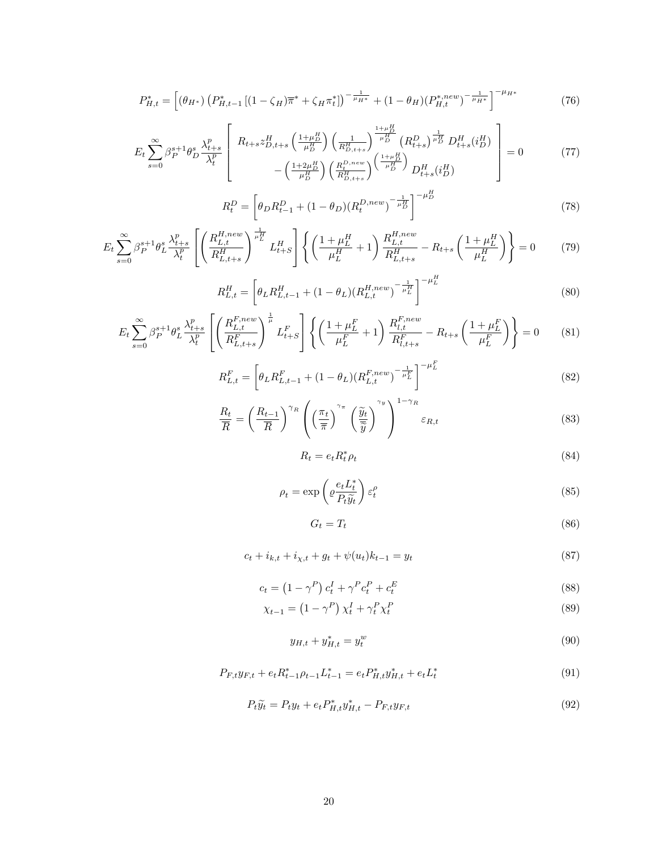$$
P_{H,t}^{*} = \left[ (\theta_{H^{*}}) \left( P_{H,t-1}^{*} \left[ (1 - \zeta_{H}) \overline{\pi}^{*} + \zeta_{H} \pi_{t}^{*} \right] \right)^{-\frac{1}{\mu_{H^{*}}}} + (1 - \theta_{H}) \left( P_{H,t}^{*,new} \right)^{-\frac{1}{\mu_{H^{*}}}} \right]^{-\mu_{H^{*}}} \tag{76}
$$

$$
E_{t} \sum_{s=0}^{\infty} \beta_{P}^{s+1} \theta_{D}^{s} \frac{\lambda_{t+s}^{p}}{\lambda_{t}^{p}} \left[ R_{t+s} z_{D,t+s}^{H} \left( \frac{1+\mu_{D}^{H}}{\mu_{D}^{H}} \right) \left( \frac{1}{R_{D,t+s}^{H}} \right)^{\frac{1+\mu_{D}^{H}}{\mu_{D}^{H}}} (R_{t+s}^{D})^{\frac{1}{\mu_{D}^{H}}} D_{t+s}^{H} (i_{D}^{H}) \right] = 0 \qquad (77)
$$

$$
R_t^D = \left[ \theta_D R_{t-1}^D + (1 - \theta_D)(R_t^{D,new})^{-\frac{1}{\mu_D^H}} \right]^{-\mu_D^H}
$$
\n(78)

$$
E_{t} \sum_{s=0}^{\infty} \beta_{P}^{s+1} \theta_{L}^{s} \frac{\lambda_{t+s}^{p}}{\lambda_{t}^{p}} \left[ \left( \frac{R_{L,t}^{H,new}}{R_{L,t+s}^{H}} \right)^{\frac{1}{\mu_{L}^{H}}} L_{t+S}^{H} \right] \left\{ \left( \frac{1+\mu_{L}^{H}}{\mu_{L}^{H}} + 1 \right) \frac{R_{L,t}^{H,new}}{R_{L,t+s}^{H}} - R_{t+s} \left( \frac{1+\mu_{L}^{H}}{\mu_{L}^{H}} \right) \right\} = 0 \tag{79}
$$

$$
R_{L,t}^H = \left[\theta_L R_{L,t-1}^H + (1 - \theta_L)(R_{L,t}^{H,new})^{-\frac{1}{\mu_L^H}}\right]^{-\mu_L^H}
$$
\n(80)

$$
E_{t} \sum_{s=0}^{\infty} \beta_{P}^{s+1} \theta_{L}^{s} \frac{\lambda_{t+s}^{p}}{\lambda_{t}^{p}} \left[ \left( \frac{R_{L,t}^{F,new}}{R_{L,t+s}^{F}} \right)^{\frac{1}{\mu}} L_{t+s}^{F} \right] \left\{ \left( \frac{1+\mu_{L}^{F}}{\mu_{L}^{F}} + 1 \right) \frac{R_{l,t}^{F,new}}{R_{l,t+s}^{F}} - R_{t+s} \left( \frac{1+\mu_{L}^{F}}{\mu_{L}^{F}} \right) \right\} = 0 \tag{81}
$$

$$
R_{L,t}^{F} = \left[\theta_L R_{L,t-1}^{F} + (1 - \theta_L)(R_{L,t}^{F,new})^{-\frac{1}{\mu_L^{F}}}\right]^{-\mu_L^{F}}
$$
\n(82)

$$
\frac{R_t}{\overline{R}} = \left(\frac{R_{t-1}}{\overline{R}}\right)^{\gamma_R} \left(\left(\frac{\pi_t}{\overline{\pi}}\right)^{\gamma_{\pi}} \left(\frac{\widetilde{y}_t}{\overline{\widetilde{y}}}\right)^{\gamma_y}\right)^{1-\gamma_R} \varepsilon_{R,t}
$$
\n(83)

$$
R_t = e_t R_t^* \rho_t \tag{84}
$$

$$
\rho_t = \exp\left(\varrho \frac{e_t L_t^*}{P_t \tilde{y}_t}\right) \varepsilon_t^\rho \tag{85}
$$

$$
G_t = T_t \tag{86}
$$

$$
c_t + i_{k,t} + i_{\chi,t} + g_t + \psi(u_t)k_{t-1} = y_t
$$
\n(87)

$$
c_t = \left(1 - \gamma^P\right)c_t^I + \gamma^P c_t^P + c_t^E \tag{88}
$$

$$
\chi_{t-1} = \left(1 - \gamma^P\right) \chi_t^I + \gamma_t^P \chi_t^P \tag{89}
$$

$$
y_{H,t} + y_{H,t}^* = y_t^w \tag{90}
$$

$$
P_{F,t}y_{F,t} + e_t R_{t-1}^* \rho_{t-1} L_{t-1}^* = e_t P_{H,t}^* y_{H,t}^* + e_t L_t^*
$$
\n
$$
(91)
$$

$$
P_t \widetilde{y}_t = P_t y_t + e_t P_{H,t}^* y_{H,t}^* - P_{F,t} y_{F,t}
$$
\n
$$
\tag{92}
$$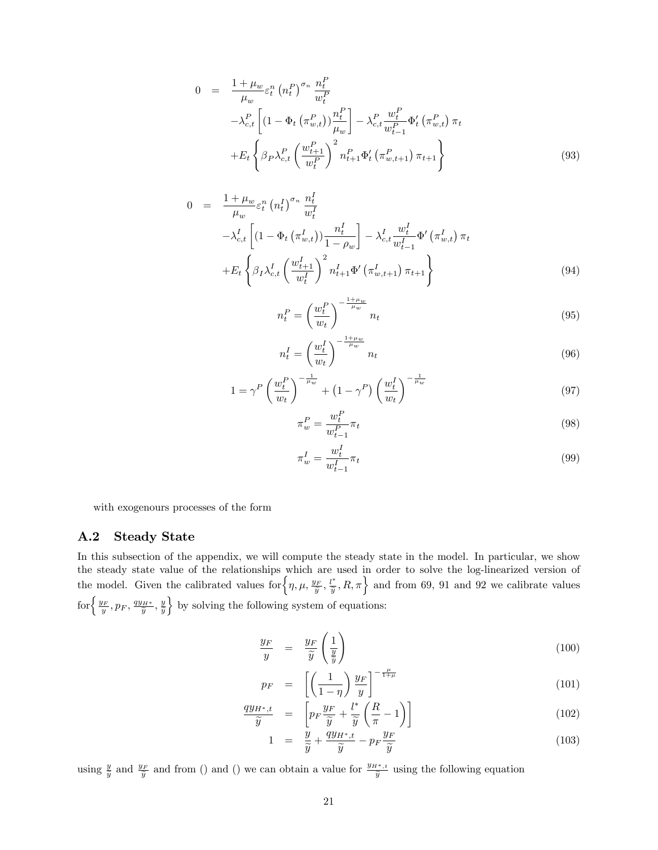$$
0 = \frac{1 + \mu_w}{\mu_w} \varepsilon_t^n (n_t^P)^{\sigma_n} \frac{n_t^P}{w_t^P} \n- \lambda_{c,t}^P \left[ (1 - \Phi_t (\pi_{w,t}^P)) \frac{n_t^P}{\mu_w} \right] - \lambda_{c,t}^P \frac{w_t^P}{w_{t-1}^P} \Phi_t' (\pi_{w,t}^P) \pi_t \n+ E_t \left\{ \beta_P \lambda_{c,t}^P \left( \frac{w_{t+1}^P}{w_t^P} \right)^2 n_{t+1}^P \Phi_t' (\pi_{w,t+1}^P) \pi_{t+1} \right\}
$$
\n(93)

$$
0 = \frac{1 + \mu_w}{\mu_w} \varepsilon_t^n (n_t^I)^{\sigma_n} \frac{n_t^I}{w_t^I} \n- \lambda_{c,t}^I \left[ (1 - \Phi_t (\pi_{w,t}^I)) \frac{n_t^I}{1 - \rho_w} \right] - \lambda_{c,t}^I \frac{w_t^I}{w_{t-1}^I} \Phi' (\pi_{w,t}^I) \pi_t \n+ E_t \left\{ \beta_I \lambda_{c,t}^I \left( \frac{w_{t+1}^I}{w_t^I} \right)^2 n_{t+1}^I \Phi' (\pi_{w,t+1}^I) \pi_{t+1} \right\}
$$
\n(94)

$$
n_t^P = \left(\frac{w_t^P}{w_t}\right)^{-\frac{1+\mu_w}{\mu_w}} n_t \tag{95}
$$

$$
n_t^I = \left(\frac{w_t^I}{w_t}\right)^{-\frac{1+\mu_w}{\mu_w}} n_t \tag{96}
$$

$$
1 = \gamma^P \left(\frac{w_t^P}{w_t}\right)^{-\frac{1}{\mu_w}} + \left(1 - \gamma^P\right) \left(\frac{w_t^I}{w_t}\right)^{-\frac{1}{\mu_w}} \tag{97}
$$

$$
\pi_w^P = \frac{w_t^P}{w_{t-1}^P} \pi_t \tag{98}
$$

$$
\pi_w^I = \frac{w_t^I}{w_{t-1}^I} \pi_t \tag{99}
$$

with exogenours processes of the form

# A.2 Steady State

In this subsection of the appendix, we will compute the steady state in the model. In particular, we show the steady state value of the relationships which are used in order to solve the log-linearized version of the model. Given the calibrated values for  $\left\{\eta,\mu,\frac{y_F}{\tilde{y}},\frac{l^*}{\tilde{y}},R,\pi\right\}$  and from 69, 91 and 92 we calibrate values  $\text{for}\left\{\frac{y_F}{y}, p_F, \frac{q y_{H^*}}{\widetilde{y}}, \frac{y}{\widetilde{y}}\right\}$ o by solving the following system of equations:

$$
\frac{y_F}{y} = \frac{y_F}{\widetilde{y}} \left(\frac{1}{\frac{y}{\widetilde{y}}}\right) \tag{100}
$$

$$
p_F = \left[ \left( \frac{1}{1 - \eta} \right) \frac{y_F}{y} \right]^{-\frac{\mu}{1 + \mu}} \tag{101}
$$

$$
\frac{qy_{H^*,t}}{\widetilde{y}} = \left[ p_F \frac{y_F}{\widetilde{y}} + \frac{l^*}{\widetilde{y}} \left( \frac{R}{\pi} - 1 \right) \right]
$$
\n(102)

$$
1 = \frac{y}{\widetilde{y}} + \frac{q y_{H^*,t}}{\widetilde{y}} - p_F \frac{y_F}{\widetilde{y}} \tag{103}
$$

using  $\frac{y}{\tilde{y}}$  and  $\frac{y_F}{\tilde{y}}$  and from () and () we can obtain a value for  $\frac{y_{H^*,t}}{\tilde{y}}$  using the following equation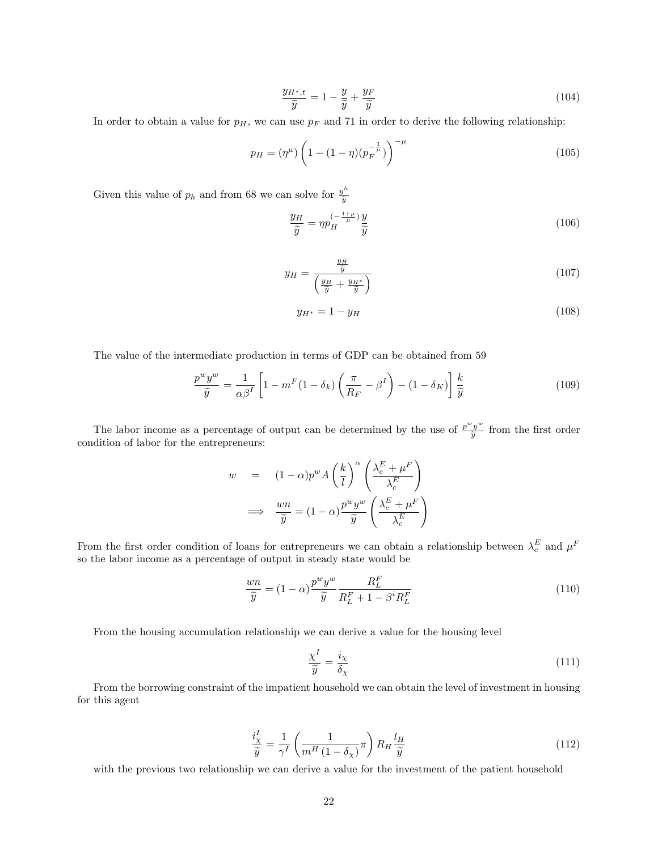$$
\frac{y_{H^*,t}}{\widetilde{y}} = 1 - \frac{y}{\widetilde{y}} + \frac{y_F}{\widetilde{y}}
$$
\n(104)

In order to obtain a value for  $p<sub>H</sub>$ , we can use  $p<sub>F</sub>$  and 71 in order to derive the following relationship:

$$
p_H = (\eta^{\mu}) \left( 1 - (1 - \eta) (p_F^{-\frac{1}{\mu}}) \right)^{-\mu} \tag{105}
$$

Given this value of  $p_h$  and from 68 we can solve for  $\frac{y^h}{\widetilde{y}}$  $\widetilde{y}$ 

$$
\frac{y_H}{\widetilde{y}} = \eta p_H^{(-\frac{1+\mu}{\mu})} \frac{y}{\widetilde{y}}
$$
\n(106)

$$
y_H = \frac{\frac{y_H}{\tilde{y}}}{\left(\frac{y_H}{\tilde{y}} + \frac{y_{H^*}}{\tilde{y}}\right)}\tag{107}
$$

$$
y_{H^*} = 1 - y_H \tag{108}
$$

The value of the intermediate production in terms of GDP can be obtained from 59

$$
\frac{p^w y^w}{\widetilde{y}} = \frac{1}{\alpha \beta^I} \left[ 1 - m^F (1 - \delta_k) \left( \frac{\pi}{R_F} - \beta^I \right) - (1 - \delta_K) \right] \frac{k}{\widetilde{y}}
$$
(109)

The labor income as a percentage of output can be determined by the use of  $\frac{p^wy^w}{\tilde{y}}$  $\frac{y}{\tilde{y}}$  from the first order condition of labor for the entrepreneurs:

$$
w = (1 - \alpha)p^{w} A\left(\frac{k}{l}\right)^{\alpha} \left(\frac{\lambda_c^{E} + \mu^{F}}{\lambda_c^{E}}\right)
$$

$$
\implies \frac{wn}{\widetilde{y}} = (1 - \alpha)\frac{p^{w} y^{w}}{\widetilde{y}} \left(\frac{\lambda_c^{E} + \mu^{F}}{\lambda_c^{E}}\right)
$$

From the first order condition of loans for entrepreneurs we can obtain a relationship between  $\lambda_c^E$  and  $\mu^F$ so the labor income as a percentage of output in steady state would be

$$
\frac{wn}{\widetilde{y}} = (1 - \alpha) \frac{p^w y^w}{\widetilde{y}} \frac{R_L^F}{R_L^F + 1 - \beta^i R_L^F}
$$
\n(110)

From the housing accumulation relationship we can derive a value for the housing level

$$
\frac{\chi^I}{\widetilde{y}} = \frac{i_\chi}{\delta_\chi} \tag{111}
$$

From the borrowing constraint of the impatient household we can obtain the level of investment in housing for this agent

$$
\frac{i_X^I}{\widetilde{y}} = \frac{1}{\gamma^I} \left( \frac{1}{m^H \left( 1 - \delta_\chi \right)} \pi \right) R_H \frac{l_H}{\widetilde{y}}
$$
\n(112)

with the previous two relationship we can derive a value for the investment of the patient household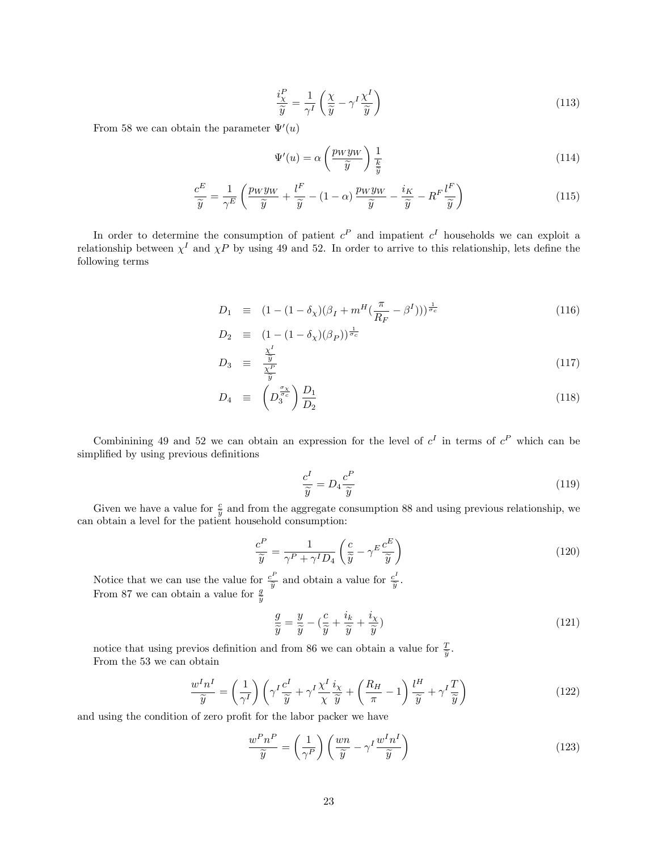$$
\frac{i_{\chi}^{P}}{\widetilde{y}} = \frac{1}{\gamma^{I}} \left( \frac{\chi}{\widetilde{y}} - \gamma^{I} \frac{\chi^{I}}{\widetilde{y}} \right)
$$
\n(113)

From 58 we can obtain the parameter  $\Psi'(u)$ 

$$
\Psi'(u) = \alpha \left(\frac{p_W y_W}{\widetilde{y}}\right) \frac{1}{\frac{k}{\widetilde{y}}} \tag{114}
$$

$$
\frac{c^{E}}{\widetilde{y}} = \frac{1}{\gamma^{E}} \left( \frac{p_{W} y_{W}}{\widetilde{y}} + \frac{l^{F}}{\widetilde{y}} - (1 - \alpha) \frac{p_{W} y_{W}}{\widetilde{y}} - \frac{i_{K}}{\widetilde{y}} - R^{F} \frac{l^{F}}{\widetilde{y}} \right)
$$
(115)

In order to determine the consumption of patient  $c^P$  and impatient  $c^I$  households we can exploit a relationship between  $\chi^I$  and  $\chi P$  by using 49 and 52. In order to arrive to this relationship, lets define the following terms

$$
D_1 \equiv (1 - (1 - \delta_\chi)(\beta_I + m^H(\frac{\pi}{R_F} - \beta^I)))^{\frac{1}{\sigma_c}} \tag{116}
$$

$$
D_2 \equiv (1 - (1 - \delta_\chi)(\beta_P))^{\frac{1}{\sigma_c}}
$$

$$
D_3 \equiv \frac{\tilde{y}}{\frac{\chi^P}{\tilde{y}}} \tag{117}
$$

$$
D_4 \equiv \left( D_3^{\frac{\sigma_X}{\sigma_c}} \right) \frac{D_1}{D_2} \tag{118}
$$

Combinining 49 and 52 we can obtain an expression for the level of  $c^I$  in terms of  $c^P$  which can be simplified by using previous definitions

$$
\frac{c^I}{\widetilde{y}} = D_4 \frac{c^P}{\widetilde{y}}
$$
\n(119)

Given we have a value for  $\frac{c}{y}$  and from the aggregate consumption 88 and using previous relationship, we obtain a lovel for the patient household consumption. can obtain a level for the patient household consumption:

$$
\frac{c^P}{\widetilde{y}} = \frac{1}{\gamma^P + \gamma^I D_4} \left( \frac{c}{\widetilde{y}} - \gamma^E \frac{c^E}{\widetilde{y}} \right)
$$
(120)

Notice that we can use the value for  $\frac{c^F}{\widetilde{\eta}}$  $\frac{c^P}{\widetilde{y}}$  and obtain a value for  $\frac{c^P}{\widetilde{y}}$  $\frac{\partial^2}{\partial y}$ . From 87 we can obtain a value for  $\frac{g}{\tilde{y}}$ 

$$
\frac{g}{\tilde{y}} = \frac{y}{\tilde{y}} - \left(\frac{c}{\tilde{y}} + \frac{i_k}{\tilde{y}} + \frac{i_\chi}{\tilde{y}}\right) \tag{121}
$$

notice that using previos definition and from 86 we can obtain a value for  $\frac{T}{\tilde{y}}$ . From the 53 we can obtain

$$
\frac{w^I n^I}{\widetilde{y}} = \left(\frac{1}{\gamma^I}\right) \left(\gamma^I \frac{c^I}{\widetilde{y}} + \gamma^I \frac{\chi^I}{\chi} \frac{i_\chi}{\widetilde{y}} + \left(\frac{R_H}{\pi} - 1\right) \frac{l^H}{\widetilde{y}} + \gamma^I \frac{T}{\widetilde{y}}\right)
$$
(122)

and using the condition of zero profit for the labor packer we have

$$
\frac{w^P n^P}{\widetilde{y}} = \left(\frac{1}{\gamma^P}\right) \left(\frac{wn}{\widetilde{y}} - \gamma^I \frac{w^I n^I}{\widetilde{y}}\right)
$$
(123)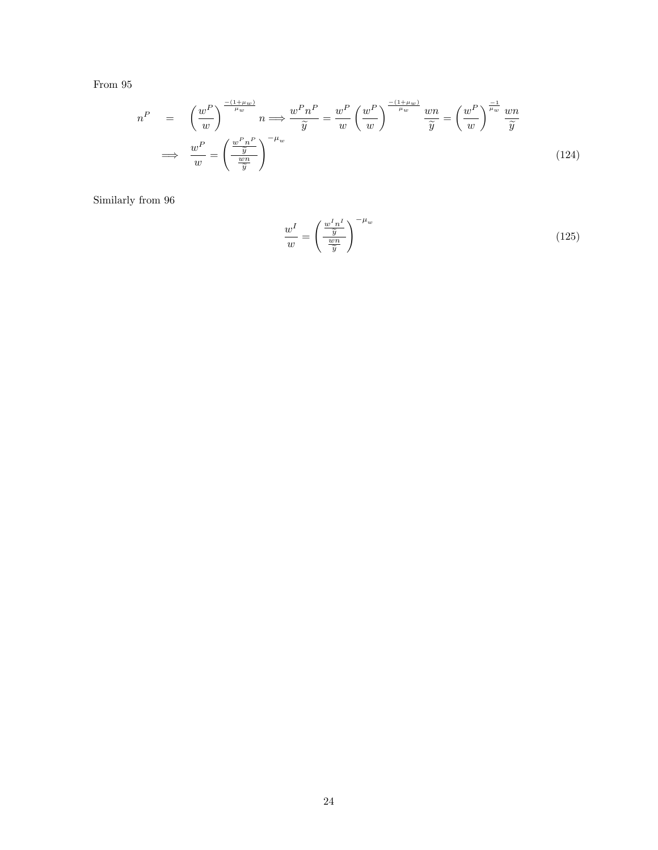From 95

$$
n^{P} = \left(\frac{w^{P}}{w}\right)^{\frac{-(1+\mu_{w})}{\mu_{w}}} n \Longrightarrow \frac{w^{P} n^{P}}{\widetilde{y}} = \frac{w^{P}}{w} \left(\frac{w^{P}}{w}\right)^{\frac{-(1+\mu_{w})}{\mu_{w}}} \frac{wn}{\widetilde{y}} = \left(\frac{w^{P}}{w}\right)^{\frac{-1}{\mu_{w}}} \frac{wn}{\widetilde{y}}
$$

$$
\Longrightarrow \frac{w^{P}}{w} = \left(\frac{\frac{w^{P} n^{P}}{\widetilde{y}}}{\frac{wn}{\widetilde{y}}}\right)^{-\mu_{w}}
$$
(124)

Similarly from 96

$$
\frac{w^I}{w} = \left(\frac{\frac{w^I n^I}{\tilde{y}}}{\frac{wn}{\tilde{y}}}\right)^{-\mu_w} \tag{125}
$$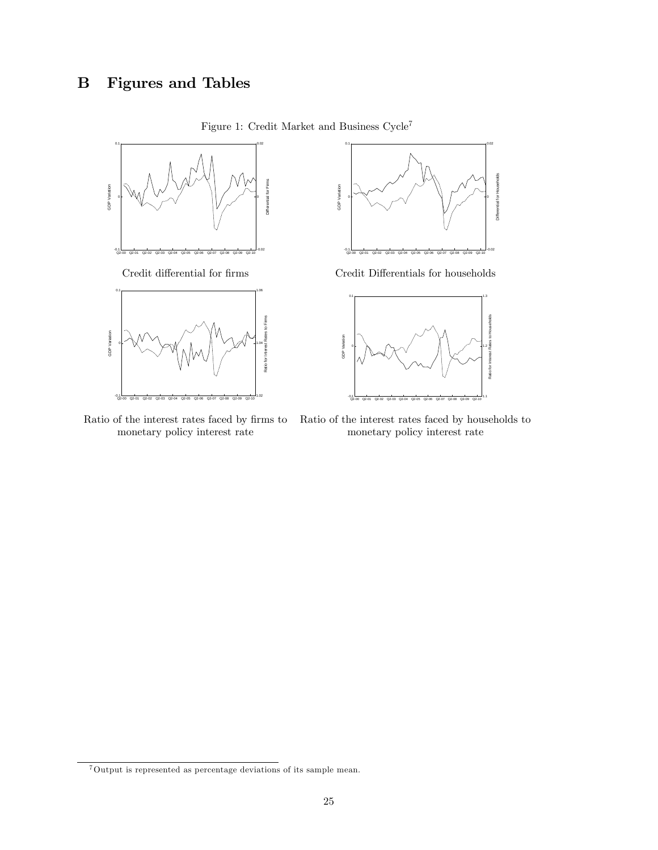

Figure 1: Credit Market and Business $\mbox{Cycle}^7$ 





Ratio of the interest rates faced by firms to Ratio of the interest rates faced by households to monetary policy interest rate monetary policy interest rate monetary policy interest rate

<sup>7</sup>Output is represented as percentage deviations of its sample mean.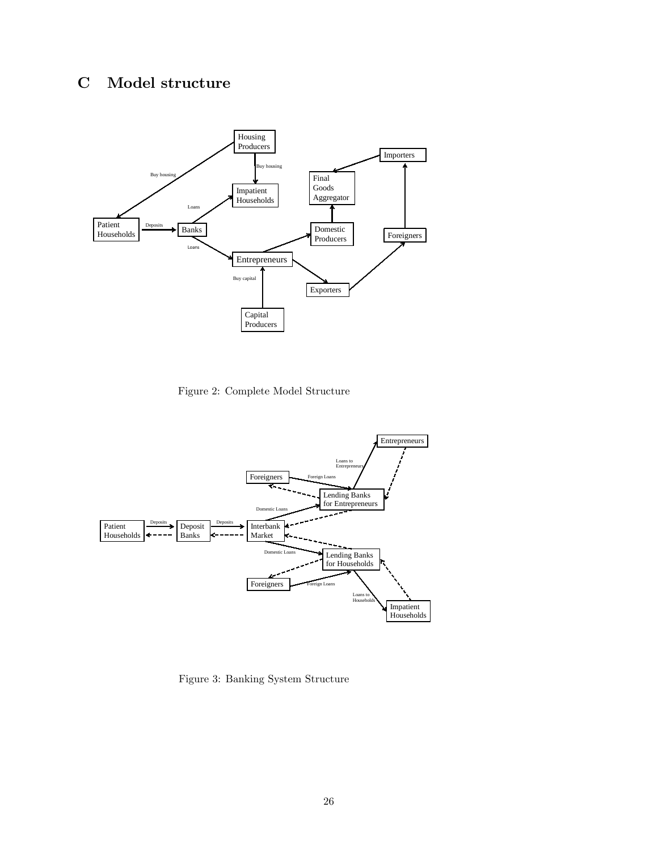# C Model structure



Figure 2: Complete Model Structure



Figure 3: Banking System Structure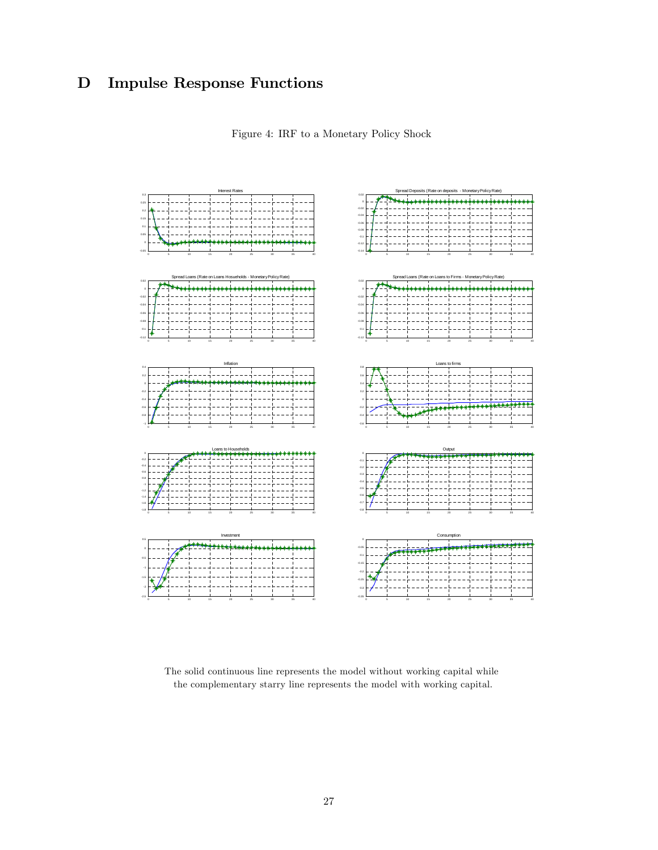# D Impulse Response Functions





The solid continuous line represents the model without working capital while the complementary starry line represents the model with working capital.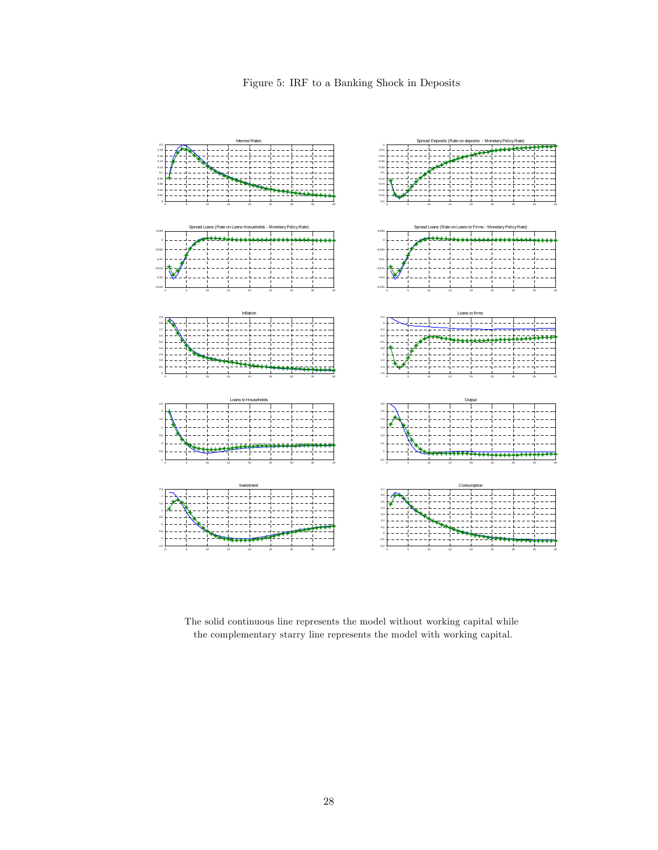Figure 5: IRF to a Banking Shock in Deposits



The solid continuous line represents the model without working capital while the complementary starry line represents the model with working capital.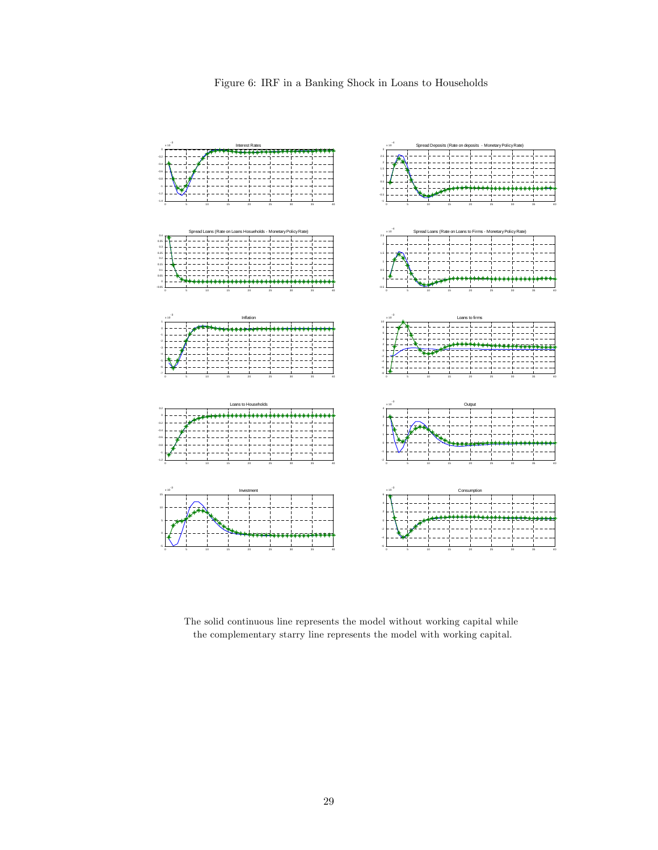

The solid continuous line represents the model without working capital while the complementary starry line represents the model with working capital.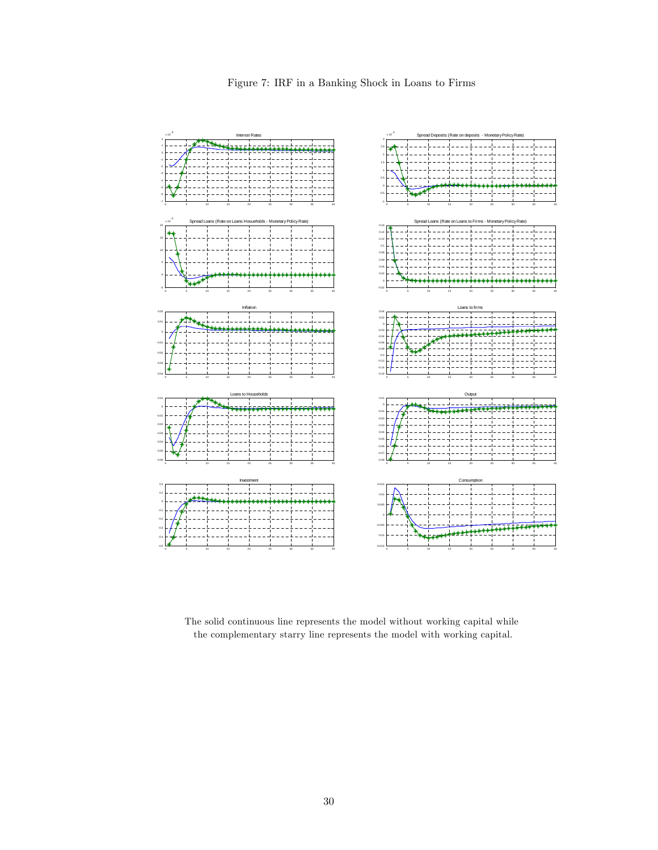

The solid continuous line represents the model without working capital while the complementary starry line represents the model with working capital.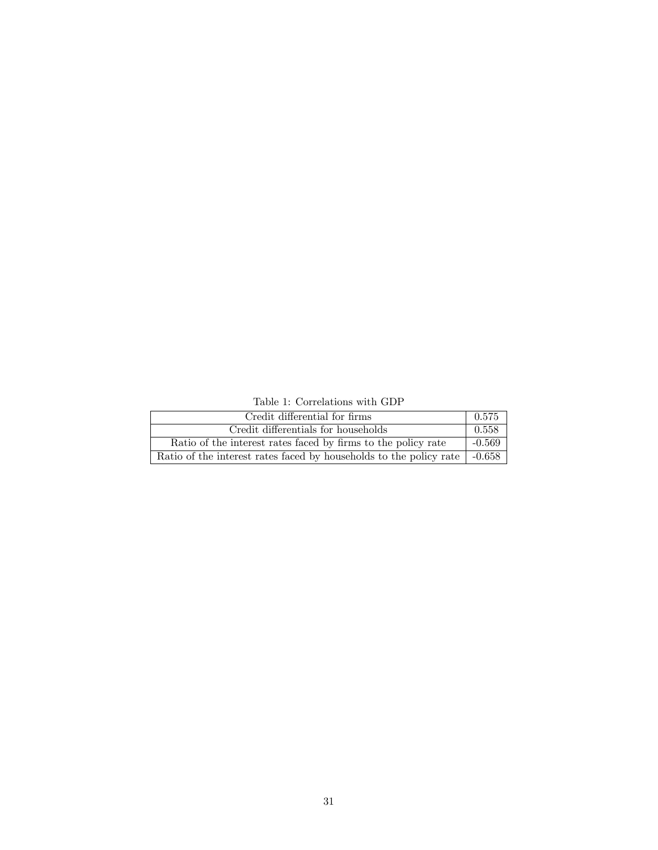Table 1: Correlations with GDP

| Credit differential for firms                                                     | 0.575    |
|-----------------------------------------------------------------------------------|----------|
| Credit differentials for households                                               | 0.558    |
| Ratio of the interest rates faced by firms to the policy rate                     | $-0.569$ |
| Ratio of the interest rates faced by households to the policy rate $\vert$ -0.658 |          |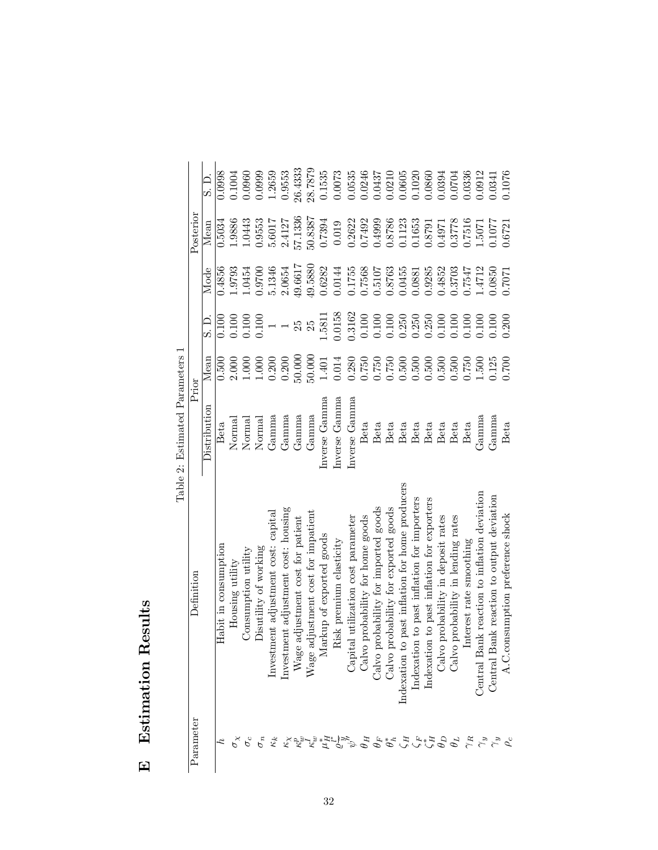| l<br>j                  |  |
|-------------------------|--|
| $\frac{1}{2}$<br>j<br>į |  |
| ļ                       |  |
|                         |  |

| arameter                                                                                                                                                                                                                                                                                                                                                                                                                                                                                      | Definition                                                                                                    | Prior                  |        |        |                | Posterior |                 |
|-----------------------------------------------------------------------------------------------------------------------------------------------------------------------------------------------------------------------------------------------------------------------------------------------------------------------------------------------------------------------------------------------------------------------------------------------------------------------------------------------|---------------------------------------------------------------------------------------------------------------|------------------------|--------|--------|----------------|-----------|-----------------|
|                                                                                                                                                                                                                                                                                                                                                                                                                                                                                               |                                                                                                               | Distribution Mean      |        |        | S.D. Mode Mean |           | $\frac{1}{2}$ . |
|                                                                                                                                                                                                                                                                                                                                                                                                                                                                                               | Habit in consumption                                                                                          | Beta                   | 0.500  | 0.100  | 0.4856         | 0.5034    | 0.0998          |
|                                                                                                                                                                                                                                                                                                                                                                                                                                                                                               | Housing utility                                                                                               | Norma                  | 2.000  | 0.100  | 1.9793         | 1.9886    | 0.1004          |
|                                                                                                                                                                                                                                                                                                                                                                                                                                                                                               | Consumption utility                                                                                           | Normal                 | 1.000  | 0.100  | 1.0454         | 1.0443    | 0.0960          |
| $\sigma_n$                                                                                                                                                                                                                                                                                                                                                                                                                                                                                    | Disutility of working                                                                                         | Norma <sup>]</sup>     | 1.000  | 0.100  | 0.9700         | 0.9553    | 0.0999          |
|                                                                                                                                                                                                                                                                                                                                                                                                                                                                                               | nvestment adjustment cost: capital                                                                            | Gamma                  | 0.200  |        | 5.1346         | 5.6017    | 1.2659          |
|                                                                                                                                                                                                                                                                                                                                                                                                                                                                                               | nvestment adjustment cost: housing                                                                            | $\operatorname{Gamma}$ | 0.200  |        | 2.0654         | 2.4127    | 0.9553          |
|                                                                                                                                                                                                                                                                                                                                                                                                                                                                                               |                                                                                                               | Gamma                  | 50.000 |        | 49.6617        | 57.1336   | 26.4333         |
|                                                                                                                                                                                                                                                                                                                                                                                                                                                                                               |                                                                                                               | Gamma                  | 50.000 | 25     | 49.5880        | 50.8387   | 28.7879         |
|                                                                                                                                                                                                                                                                                                                                                                                                                                                                                               | Wage adjustment cost for patient Wage adjustment cost for impatient Markup of exported goods                  | Inverse Gamma          | 1.401  | 1.5811 | 0.6282         | 0.7394    | 0.1535          |
| $\begin{array}{l} \mathcal{L} \\ \mathcal{L} \\ \mathcal{L} \\ \mathcal{L} \\ \mathcal{L} \\ \mathcal{L} \\ \mathcal{L} \\ \mathcal{L} \\ \mathcal{L} \\ \mathcal{L} \\ \mathcal{L} \\ \mathcal{L} \\ \mathcal{L} \\ \mathcal{L} \\ \mathcal{L} \\ \mathcal{L} \\ \mathcal{L} \\ \mathcal{L} \\ \mathcal{L} \\ \mathcal{L} \\ \mathcal{L} \\ \mathcal{L} \\ \mathcal{L} \\ \mathcal{L} \\ \mathcal{L} \\ \mathcal{L} \\ \mathcal{L} \\ \mathcal{L} \\ \mathcal{L} \\ \mathcal{L} \\ \mathcal$ | Risk premium elasticity                                                                                       | Inverse Gamma          | 0.014  | 0.0158 | 0.0144         | 0.019     | 0.0073          |
|                                                                                                                                                                                                                                                                                                                                                                                                                                                                                               |                                                                                                               | Inverse Gamma          | 0.280  | 0.3162 | 0.1755         | 0.2622    | 0.0535          |
|                                                                                                                                                                                                                                                                                                                                                                                                                                                                                               | Capital utilization cost parameter<br>Calvo probability for home goods<br>Calvo probability for imported good | Beta                   | 0.750  | 0.100  | 0.7568         | 0.7492    | 0.0246          |
|                                                                                                                                                                                                                                                                                                                                                                                                                                                                                               | probability for imported goods                                                                                | Beta                   | 0.750  | 0.100  | 0.5107         | 0.4999    | 0.0437          |

26.4333 28.7879

 $0.0073$ 0.0535 0.0246 0.0437 0.0210  $0.0605$ 0.1020

> 0.4999 0.8786 0.1123 0.1653 0.8791

0.5107 0.8763 0.0455 0.0881 0.9285 0.4852 0.3703 0.7547

0.100 0.100  $0.250$  $0.250$ 

> $0.500\,$  $0.500\,$  $0.500\,$  $0.500$ 0.500

0.750

Beta Beta Beta Beta

Indexation to past inflation for home producers

 $H$ 

 $\begin{array}{c} G \to \mathcal{L}^* \to \mathcal{L} \\ H \to \mathcal{L} \end{array}$ 

 $\gamma_R$ 

 $\underset{\sim}{\sim}$   $\underset{\omega}{\sim}$ 

 $\theta_L$ 

Calvo probability for exported goods

Indexation to past inflation for importers Indexation to past inflation for exporters

Calvo probability in deposit rates Calvo probability in lending rates Interest rate smoothing

 $\theta_F$  Calvo probability for imported goods Beta  $0.750$  0.100 0.5107 0.4999 0.0437  $\mathcal{L}_h^*$  Calvo probability for exported goods Beta  $0.750$  0.100 0.8763 0.8786 0.0210 0.0210  $\zeta_H$  Indexation to past inflation for home producers Beta 0.500 0.250 0.0455 0.1123 0.0605  $\zeta_F$  Indexation to past inflation for importers Beta 0.500 0.250 0.0881 0.1053 0.1020  $\frac{C_F^*}{A}$  Indexation to past inflation for exporters Beta 0.500 0.250 0.9285 0.8791 0.0860  $\frac{D}{A}$  $\theta_D$  Calvo probability in deposit rates Beta 0.500 0.100 0.4852 0.4971 0.0394  $\theta_L$  Calvo probability in lending rates Beta  $0.500$  0.100 0.3703 0.3778 0.0704 0.0704  $\alpha_R$  Interest rate smoothing Beta  $0.750$  0.100 0.7547 0.7516 0.0336  $\gamma_y$  Central Bank reaction to inflation deviation Gamma  $1.500$  0.100  $1.4712$  1.5071 0.0912  $\gamma_y$  Central Bank reaction to output deviation Gamma  $0.125$   $0.100$   $0.0850$   $0.1077$   $0.0341$  $\rho_c$  A.C.consumption preference shock Beta  $0.700$  0.700 0.200 0.7071 0.6721 0.1076

0.0860

 $0.250$  $0.100$ 0.100  $0.100$ 

Beta

Beta

0.0394 0.0704 0.0336 0.0912

0.4971

0.3778 0.7516

0.1076 0.0341

0.1077 0.6721

0.0850 0.7071

 $\operatorname{Gamma}$  $\mathcal{F}_{\mathbf{a}}$ amma

Beta

1.5071

1.4712

 $0.100$  $0.100\,$  $0.200$ 

 $0.750$ 1.500 0.125  $0.700$ 

Beta

Central Bank reaction to inflation deviation Central Bank reaction to output deviation

A.C.consumption preference shock

Table 2: Estimated Parameters 1 Table 2: Estimated Parameters 1

 $\theta_H$  $\overset{\circ}{\theta}_h^{\ast}$